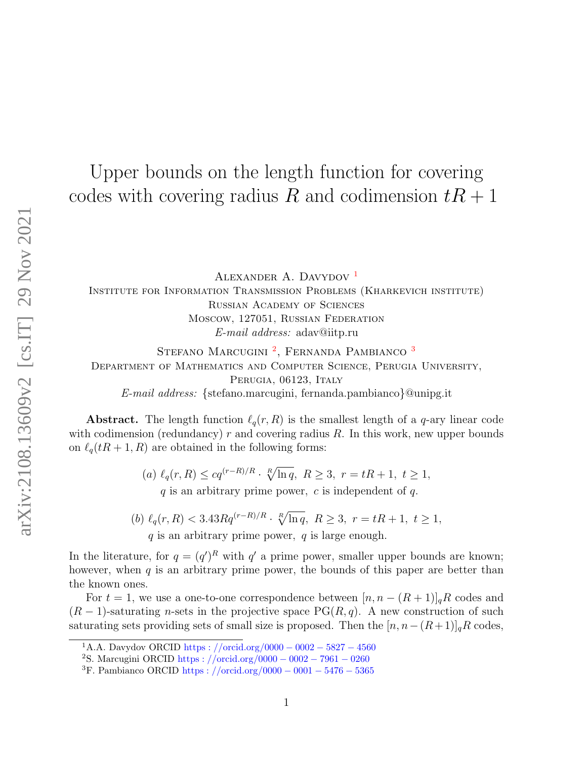# Upper bounds on the length function for covering codes with covering radius R and codimension  $tR + 1$

ALEXANDER A. DAVYDOV<sup>[1](#page-0-0)</sup>

Institute for Information Transmission Problems (Kharkevich institute) Russian Academy of Sciences Moscow, 127051, Russian Federation E-mail address: adav@iitp.ru

STEFANO MARCUGINI<sup>[2](#page-0-1)</sup>, FERNANDA PAMBIANCO<sup>[3](#page-0-2)</sup> Department of Mathematics and Computer Science, Perugia University, PERUGIA, 06123, ITALY E-mail address: {stefano.marcugini, fernanda.pambianco}@unipg.it

**Abstract.** The length function  $\ell_q(r, R)$  is the smallest length of a q-ary linear code with codimension (redundancy)  $r$  and covering radius  $R$ . In this work, new upper bounds on  $\ell_q(tR + 1, R)$  are obtained in the following forms:

> (a)  $\ell_q(r, R) \leq cq^{(r-R)/R} \cdot \sqrt[R]{\ln q}, R \geq 3, r = tR + 1, t \geq 1,$  $q$  is an arbitrary prime power, c is independent of  $q$ .

(b)  $\ell_q(r, R) < 3.43 R q^{(r-R)/R} \cdot \sqrt[R]{\ln q}, R \geq 3, r = tR + 1, t \geq 1,$  $q$  is an arbitrary prime power,  $q$  is large enough.

In the literature, for  $q = (q')^R$  with  $q'$  a prime power, smaller upper bounds are known; however, when  $q$  is an arbitrary prime power, the bounds of this paper are better than the known ones.

For  $t = 1$ , we use a one-to-one correspondence between  $[n, n - (R + 1)]_qR$  codes and  $(R-1)$ -saturating n-sets in the projective space PG(R,q). A new construction of such saturating sets providing sets of small size is proposed. Then the  $[n, n-(R+1)]_qR$  codes,

<span id="page-0-0"></span><sup>&</sup>lt;sup>1</sup>A.A. Davydov ORCID [https :](https://orcid.org/0000-0002-5827-4560) //orcid.org/0000 – 0002 – 5827 – 4560

<span id="page-0-1"></span><sup>2</sup>S. Marcugini ORCID [https :](https://orcid.org/0000-0002-7961-0260) //orcid.org/0000 − 0002 − 7961 − 0260

<span id="page-0-2"></span><sup>&</sup>lt;sup>3</sup>F. Pambianco ORCID [https :](https://orcid.org/0000-0001-5476-5365) //orcid.org/0000 – 0001 – 5476 – 5365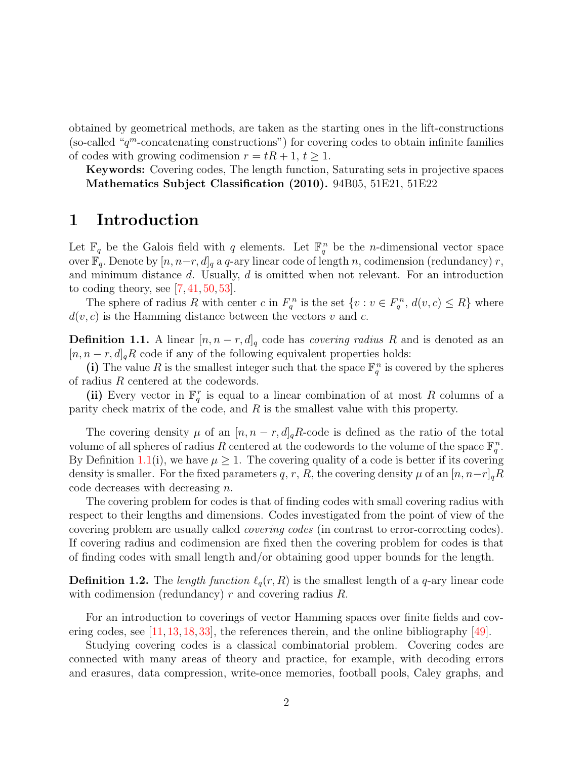obtained by geometrical methods, are taken as the starting ones in the lift-constructions (so-called " $q^m$ -concatenating constructions") for covering codes to obtain infinite families of codes with growing codimension  $r = tR + 1, t \ge 1$ .

Keywords: Covering codes, The length function, Saturating sets in projective spaces Mathematics Subject Classification (2010). 94B05, 51E21, 51E22

### 1 Introduction

Let  $\mathbb{F}_q$  be the Galois field with q elements. Let  $\mathbb{F}_q^n$  be the *n*-dimensional vector space over  $\mathbb{F}_q$ . Denote by  $[n, n-r, d]_q$  a q-ary linear code of length n, codimension (redundancy) r, and minimum distance  $d$ . Usually,  $d$  is omitted when not relevant. For an introduction to coding theory, see  $[7, 41, 50, 53]$  $[7, 41, 50, 53]$  $[7, 41, 50, 53]$  $[7, 41, 50, 53]$  $[7, 41, 50, 53]$  $[7, 41, 50, 53]$ .

The sphere of radius R with center c in  $F_q^n$  is the set  $\{v : v \in F_q^n, d(v, c) \leq R\}$  where  $d(v, c)$  is the Hamming distance between the vectors v and c.

<span id="page-1-0"></span>**Definition 1.1.** A linear  $[n, n-r, d]_q$  code has *covering radius R* and is denoted as an  $[n, n-r, d]_qR$  code if any of the following equivalent properties holds:

(i) The value R is the smallest integer such that the space  $\mathbb{F}_q^n$  is covered by the spheres of radius R centered at the codewords.

(ii) Every vector in  $\mathbb{F}_q^r$  is equal to a linear combination of at most R columns of a parity check matrix of the code, and  $R$  is the smallest value with this property.

The covering density  $\mu$  of an  $[n, n-r, d]_qR$ -code is defined as the ratio of the total volume of all spheres of radius R centered at the codewords to the volume of the space  $\mathbb{F}_q^n$ . By Definition [1.1\(](#page-1-0)i), we have  $\mu \geq 1$ . The covering quality of a code is better if its covering density is smaller. For the fixed parameters q, r, R, the covering density  $\mu$  of an  $[n, n-r]_qR$ code decreases with decreasing n.

The covering problem for codes is that of finding codes with small covering radius with respect to their lengths and dimensions. Codes investigated from the point of view of the covering problem are usually called covering codes (in contrast to error-correcting codes). If covering radius and codimension are fixed then the covering problem for codes is that of finding codes with small length and/or obtaining good upper bounds for the length.

**Definition 1.2.** The length function  $\ell_q(r, R)$  is the smallest length of a q-ary linear code with codimension (redundancy)  $r$  and covering radius  $R$ .

For an introduction to coverings of vector Hamming spaces over finite fields and covering codes, see [\[11,](#page-26-1) [13,](#page-26-2) [18,](#page-27-0) [33\]](#page-28-0), the references therein, and the online bibliography [\[49\]](#page-29-2).

Studying covering codes is a classical combinatorial problem. Covering codes are connected with many areas of theory and practice, for example, with decoding errors and erasures, data compression, write-once memories, football pools, Caley graphs, and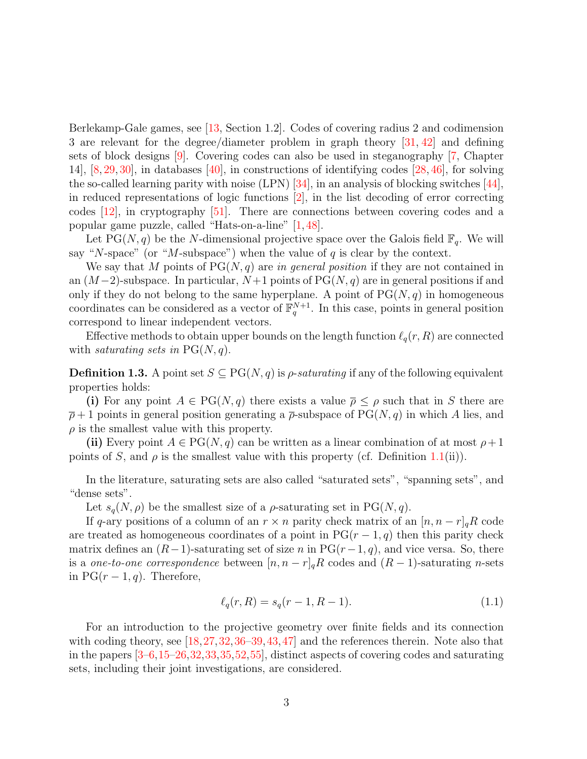Berlekamp-Gale games, see [\[13,](#page-26-2) Section 1.2]. Codes of covering radius 2 and codimension 3 are relevant for the degree/diameter problem in graph theory [\[31,](#page-28-1) [42\]](#page-29-3) and defining sets of block designs [\[9\]](#page-26-3). Covering codes can also be used in steganography [\[7,](#page-26-0) Chapter 14], [\[8,](#page-26-4) [29,](#page-28-2) [30\]](#page-28-3), in databases [\[40\]](#page-29-4), in constructions of identifying codes [\[28,](#page-28-4) [46\]](#page-29-5), for solving the so-called learning parity with noise (LPN)  $[34]$ , in an analysis of blocking switches  $[44]$ , in reduced representations of logic functions [\[2\]](#page-25-0), in the list decoding of error correcting codes [\[12\]](#page-26-5), in cryptography [\[51\]](#page-30-1). There are connections between covering codes and a popular game puzzle, called "Hats-on-a-line" [\[1,](#page-25-1) [48\]](#page-29-7).

Let PG(N, q) be the N-dimensional projective space over the Galois field  $\mathbb{F}_q$ . We will say "N-space" (or "M-subspace") when the value of q is clear by the context.

We say that M points of  $PG(N, q)$  are in general position if they are not contained in an  $(M-2)$ -subspace. In particular,  $N+1$  points of PG( $(N, q)$ ) are in general positions if and only if they do not belong to the same hyperplane. A point of  $PG(N, q)$  in homogeneous coordinates can be considered as a vector of  $\mathbb{F}_q^{N+1}$ . In this case, points in general position correspond to linear independent vectors.

Effective methods to obtain upper bounds on the length function  $\ell_q(r, R)$  are connected with saturating sets in  $PG(N, q)$ .

<span id="page-2-0"></span>**Definition 1.3.** A point set  $S \subseteq PG(N, q)$  is  $\rho$ -saturating if any of the following equivalent properties holds:

(i) For any point  $A \in PG(N, q)$  there exists a value  $\overline{\rho} \leq \rho$  such that in S there are  $\bar{\rho}+1$  points in general position generating a  $\bar{\rho}$ -subspace of PG(N, q) in which A lies, and  $\rho$  is the smallest value with this property.

(ii) Every point  $A \in PG(N, q)$  can be written as a linear combination of at most  $\rho + 1$ points of S, and  $\rho$  is the smallest value with this property (cf. Definition [1.1\(](#page-1-0)ii)).

In the literature, saturating sets are also called "saturated sets", "spanning sets", and "dense sets".

Let  $s_q(N, \rho)$  be the smallest size of a  $\rho$ -saturating set in PG $(N, q)$ .

If q-ary positions of a column of an  $r \times n$  parity check matrix of an  $[n, n - r]_qR$  code are treated as homogeneous coordinates of a point in  $PG(r-1, q)$  then this parity check matrix defines an  $(R-1)$ -saturating set of size n in PG $(r-1, q)$ , and vice versa. So, there is a one-to-one correspondence between  $[n, n-r]_qR$  codes and  $(R-1)$ -saturating n-sets in  $PG(r-1, q)$ . Therefore,

$$
\ell_q(r, R) = s_q(r - 1, R - 1). \tag{1.1}
$$

For an introduction to the projective geometry over finite fields and its connection with coding theory, see [\[18,](#page-27-0) [27,](#page-27-1) [32,](#page-28-6) [36](#page-28-7)[–39,](#page-29-8) [43,](#page-29-9) [47\]](#page-29-10) and the references therein. Note also that in the papers [\[3–](#page-25-2)[6,](#page-26-6)[15–](#page-26-7)[26](#page-27-2)[,32,](#page-28-6)[33,](#page-28-0)[35,](#page-28-8)[52,](#page-30-2)[55\]](#page-30-3), distinct aspects of covering codes and saturating sets, including their joint investigations, are considered.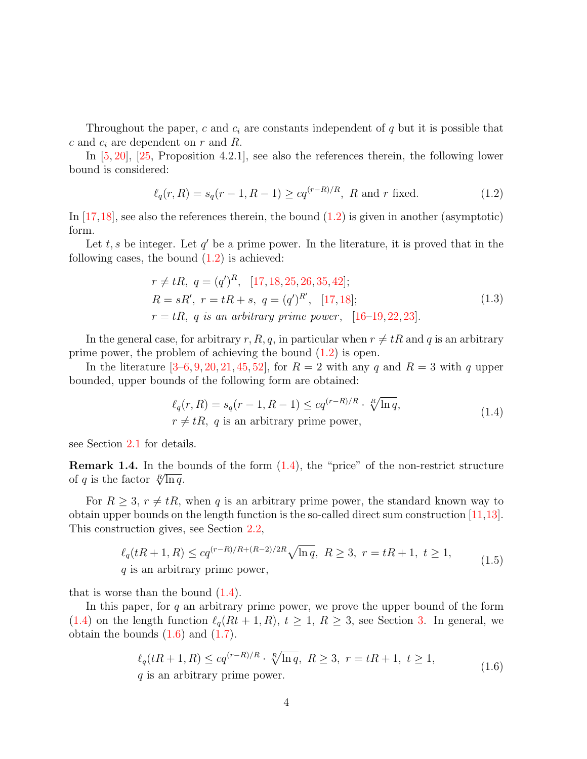Throughout the paper, c and  $c_i$  are constants independent of q but it is possible that c and  $c_i$  are dependent on r and R.

In [\[5,](#page-25-3) [20\]](#page-27-3), [\[25,](#page-27-4) Proposition 4.2.1], see also the references therein, the following lower bound is considered:

<span id="page-3-0"></span>
$$
\ell_q(r, R) = s_q(r - 1, R - 1) \geq cq^{(r - R)/R}, R \text{ and } r \text{ fixed.}
$$
 (1.2)

In  $[17,18]$  $[17,18]$ , see also the references therein, the bound  $(1.2)$  is given in another (asymptotic) form.

Let  $t, s$  be integer. Let  $q'$  be a prime power. In the literature, it is proved that in the following cases, the bound  $(1.2)$  is achieved:

$$
r \neq tR, \ q = (q')^R, \ [17, 18, 25, 26, 35, 42];
$$
  
\n
$$
R = sR', \ r = tR + s, \ q = (q')^{R'}, \ [17, 18];
$$
  
\n
$$
r = tR, \ q \ \text{is an arbitrary prime power}, \ [16-19, 22, 23].
$$
\n
$$
(1.3)
$$

In the general case, for arbitrary r, R, q, in particular when  $r \neq tR$  and q is an arbitrary prime power, the problem of achieving the bound  $(1.2)$  is open.

In the literature  $[3-6, 9, 20, 21, 45, 52]$  $[3-6, 9, 20, 21, 45, 52]$  $[3-6, 9, 20, 21, 45, 52]$  $[3-6, 9, 20, 21, 45, 52]$  $[3-6, 9, 20, 21, 45, 52]$  $[3-6, 9, 20, 21, 45, 52]$  $[3-6, 9, 20, 21, 45, 52]$  $[3-6, 9, 20, 21, 45, 52]$  $[3-6, 9, 20, 21, 45, 52]$  $[3-6, 9, 20, 21, 45, 52]$  $[3-6, 9, 20, 21, 45, 52]$  $[3-6, 9, 20, 21, 45, 52]$ , for  $R = 2$  with any q and  $R = 3$  with q upper bounded, upper bounds of the following form are obtained:

$$
\ell_q(r, R) = s_q(r - 1, R - 1) \leq cq^{(r - R)/R} \cdot \sqrt[R]{\ln q},
$$
  
\n
$$
r \neq tR, q \text{ is an arbitrary prime power},
$$
\n(1.4)

<span id="page-3-1"></span>see Section [2.1](#page-5-0) for details.

**Remark 1.4.** In the bounds of the form  $(1.4)$ , the "price" of the non-restrict structure **Remark 1.4.** In the beach  $\sqrt[R]{\ln q}$ .

For  $R \geq 3$ ,  $r \neq tR$ , when q is an arbitrary prime power, the standard known way to obtain upper bounds on the length function is the so-called direct sum construction [\[11,](#page-26-1)[13\]](#page-26-2). This construction gives, see Section [2.2,](#page-5-1)

$$
\ell_q(tR+1,R) \le cq^{(r-R)/R+(R-2)/2R} \sqrt{\ln q}, R \ge 3, r = tR+1, t \ge 1,
$$
  
q is an arbitrary prime power, (1.5)

<span id="page-3-3"></span>that is worse than the bound  $(1.4)$ .

<span id="page-3-2"></span>In this paper, for  $q$  an arbitrary prime power, we prove the upper bound of the form [\(1.4\)](#page-3-1) on the length function  $\ell_q(Rt + 1, R), t \geq 1, R \geq 3$ , see Section [3.](#page-6-0) In general, we obtain the bounds  $(1.6)$  and  $(1.7)$ .

$$
\ell_q(tR+1,R) \leq cq^{(r-R)/R} \cdot \sqrt[R]{\ln q}, \ R \geq 3, \ r = tR+1, \ t \geq 1,
$$
  
 q is an arbitrary prime power. (1.6)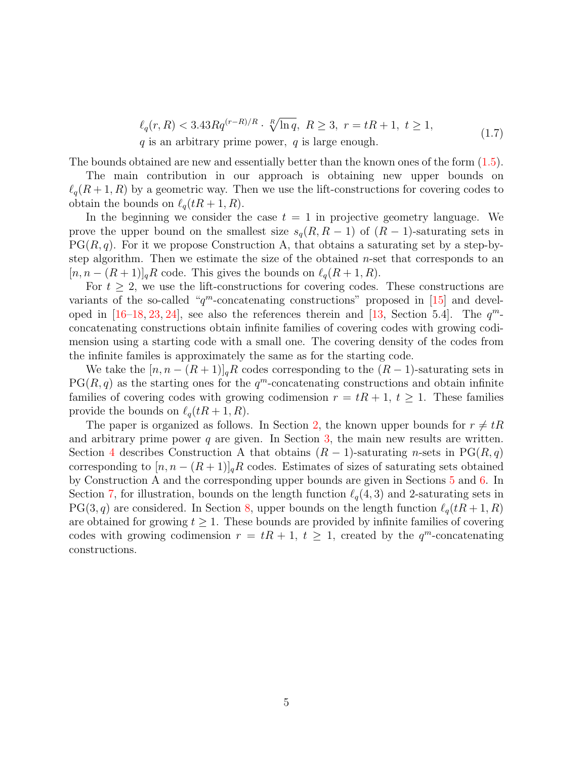$$
\ell_q(r, R) < 3.43Rq^{(r-R)/R} \cdot \sqrt[R]{\ln q}, \ R \ge 3, \ r = tR + 1, \ t \ge 1,
$$
\nq is an arbitrary prime power, q is large enough.

\n
$$
(1.7)
$$

<span id="page-4-0"></span>The bounds obtained are new and essentially better than the known ones of the form [\(1.5\)](#page-3-3).

The main contribution in our approach is obtaining new upper bounds on  $\ell_q(R + 1, R)$  by a geometric way. Then we use the lift-constructions for covering codes to obtain the bounds on  $\ell_q(tR + 1, R)$ .

In the beginning we consider the case  $t = 1$  in projective geometry language. We prove the upper bound on the smallest size  $s_q(R, R-1)$  of  $(R-1)$ -saturating sets in  $PG(R, q)$ . For it we propose Construction A, that obtains a saturating set by a step-bystep algorithm. Then we estimate the size of the obtained n-set that corresponds to an  $[n, n - (R + 1)]_q R$  code. This gives the bounds on  $\ell_q(R + 1, R)$ .

For  $t \geq 2$ , we use the lift-constructions for covering codes. These constructions are variants of the so-called " $q^m$ -concatenating constructions" proposed in [\[15\]](#page-26-7) and developed in  $[16-18, 23, 24]$  $[16-18, 23, 24]$  $[16-18, 23, 24]$  $[16-18, 23, 24]$  $[16-18, 23, 24]$  $[16-18, 23, 24]$ , see also the references therein and  $[13,$  Section 5.4. The  $q^m$ concatenating constructions obtain infinite families of covering codes with growing codimension using a starting code with a small one. The covering density of the codes from the infinite familes is approximately the same as for the starting code.

We take the  $[n, n - (R + 1)]_q R$  codes corresponding to the  $(R - 1)$ -saturating sets in  $PG(R, q)$  as the starting ones for the  $q^m$ -concatenating constructions and obtain infinite families of covering codes with growing codimension  $r = tR + 1$ ,  $t \ge 1$ . These families provide the bounds on  $\ell_q(tR + 1, R)$ .

The paper is organized as follows. In Section [2,](#page-5-2) the known upper bounds for  $r \neq tR$ and arbitrary prime power  $q$  are given. In Section [3,](#page-6-0) the main new results are written. Section [4](#page-8-0) describes Construction A that obtains  $(R-1)$ -saturating n-sets in PG $(R, q)$ corresponding to  $[n, n - (R+1)]_qR$  codes. Estimates of sizes of saturating sets obtained by Construction A and the corresponding upper bounds are given in Sections [5](#page-14-0) and [6.](#page-17-0) In Section [7,](#page-22-0) for illustration, bounds on the length function  $\ell_q(4, 3)$  and 2-saturating sets in PG(3, q) are considered. In Section [8,](#page-22-1) upper bounds on the length function  $\ell_q(tR + 1, R)$ are obtained for growing  $t \geq 1$ . These bounds are provided by infinite families of covering codes with growing codimension  $r = tR + 1$ ,  $t \geq 1$ , created by the  $q^m$ -concatenating constructions.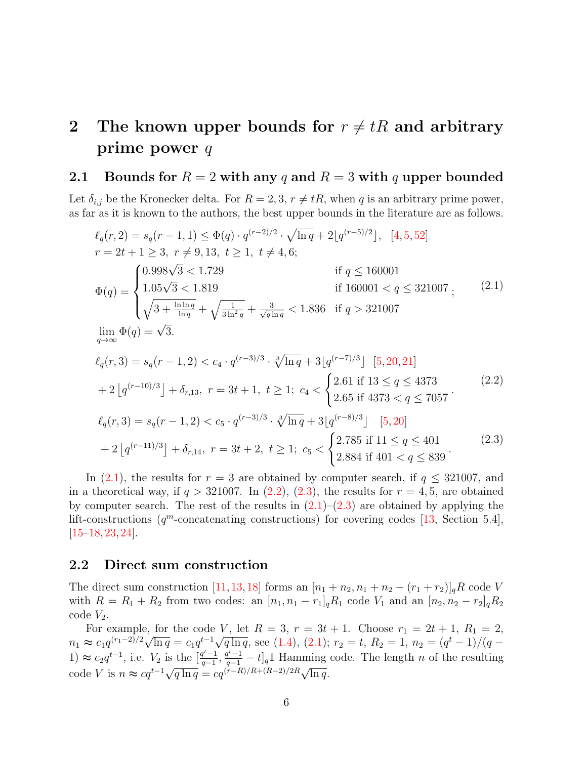## <span id="page-5-2"></span>2 The known upper bounds for  $r \neq tR$  and arbitrary prime power q

#### <span id="page-5-0"></span>2.1 Bounds for  $R = 2$  with any q and  $R = 3$  with q upper bounded

Let  $\delta_{i,j}$  be the Kronecker delta. For  $R = 2, 3, r \neq tR$ , when q is an arbitrary prime power, as far as it is known to the authors, the best upper bounds in the literature are as follows.

<span id="page-5-3"></span>
$$
\ell_q(r, 2) = s_q(r - 1, 1) \le \Phi(q) \cdot q^{(r-2)/2} \cdot \sqrt{\ln q} + 2[q^{(r-5)/2}], [4, 5, 52]
$$
\n
$$
r = 2t + 1 \ge 3, r \ne 9, 13, t \ge 1, t \ne 4, 6;
$$
\n
$$
\Phi(q) = \begin{cases}\n0.998\sqrt{3} < 1.729 \\
1.05\sqrt{3} < 1.819 \\
\sqrt{3 + \frac{\ln\ln q}{\ln q}} + \sqrt{\frac{1}{3\ln^2 q}} + \frac{3}{\sqrt{q\ln q}} < 1.836 \text{ if } q > 321007\n\end{cases}
$$
\n
$$
\lim_{q \to \infty} \Phi(q) = \sqrt{3}.
$$
\n
$$
\ell_q(r, 3) = s_q(r - 1, 2) < c_4 \cdot q^{(r-3)/3} \cdot \sqrt[3]{\ln q} + 3[q^{(r-7)/3}] [5, 20, 21]
$$
\n
$$
+ 2[q^{(r-10)/3}] + \delta_{r, 13}, r = 3t + 1, t \ge 1; c_4 < \begin{cases}\n2.61 \text{ if } 13 \le q \le 4373 \\
2.65 \text{ if } 4373 < q \le 7057\n\end{cases}
$$
\n
$$
\ell_q(r, 3) = s_q(r - 1, 2) < c_5 \cdot q^{(r-3)/3} \cdot \sqrt[3]{\ln q} + 3[q^{(r-8)/3}] [5, 20]
$$
\n
$$
+ 2[q^{(r-11)/3}] + \delta_{r, 14}, r = 3t + 2, t \ge 1; c_5 < \begin{cases}\n2.785 \text{ if } 11 \le q \le 401 \\
2.884 \text{ if } 401 < q \le 839\n\end{cases}
$$
\n
$$
(2.3)
$$

<span id="page-5-5"></span><span id="page-5-4"></span>In [\(2.1\)](#page-5-3), the results for  $r = 3$  are obtained by computer search, if  $q \leq 321007$ , and in a theoretical way, if  $q > 321007$ . In  $(2.2)$ ,  $(2.3)$ , the results for  $r = 4, 5$ , are obtained by computer search. The rest of the results in  $(2.1)$ – $(2.3)$  are obtained by applying the lift-constructions  $(q^m$ -concatenating constructions) for covering codes [\[13,](#page-26-2) Section 5.4],  $[15–18, 23, 24]$  $[15–18, 23, 24]$  $[15–18, 23, 24]$  $[15–18, 23, 24]$  $[15–18, 23, 24]$  $[15–18, 23, 24]$ .

#### <span id="page-5-1"></span>2.2 Direct sum construction

The direct sum construction [\[11,](#page-26-1) [13,](#page-26-2) [18\]](#page-27-0) forms an  $[n_1 + n_2, n_1 + n_2 - (r_1 + r_2)]_qR$  code V with  $R = R_1 + R_2$  from two codes: an  $[n_1, n_1 - r_1]_q R_1$  code  $V_1$  and an  $[n_2, n_2 - r_2]_q R_2$  $code V_2$ .

For example, for the code V, let  $R = 3$ ,  $r = 3t + 1$ . Choose  $r_1 = 2t + 1$ ,  $R_1 = 2$ , For example, for the code *v*, let  $R = 3$ ,  $r = 3t + 1$ . Choose  $r_1 = 2t + 1$ ,  $R_1 = 2$ ,<br>  $n_1 \approx c_1 q^{(r_1-2)/2} \sqrt{\ln q} = c_1 q^{t-1} \sqrt{q \ln q}$ , see [\(1.4\)](#page-3-1), [\(2.1\)](#page-5-3);  $r_2 = t$ ,  $R_2 = 1$ ,  $n_2 = (q^t - 1)/(q -$ 1) ≈  $c_2 q^{t-1}$ , i.e.  $V_2$  is the  $\left[\frac{q^{t-1}}{q-1}\right]$ 1) ≈  $c_2 q^{t-1}$ , i.e.  $V_2$  is the  $\left[\frac{q^{t}-1}{q-1}, \frac{q^{t}-1}{q-1} - t\right]_q$ 1 Hamming code. The length *n* of the resulting code *V* is  $n \approx cq^{t-1}\sqrt{q \ln q} = cq^{(r-R)/R + (R-2)/2R}\sqrt{\ln q}$ .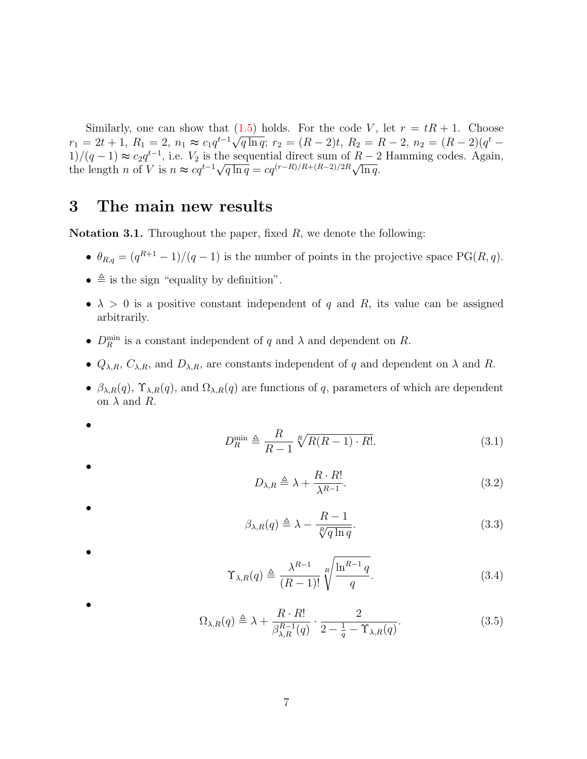Similarly, one can show that  $(1.5)$  holds. For the code V, let  $r = tR + 1$ . Choose similarly, one can show that (1.5) holds. For the code v, let  $r = iR + 1$ . Choose<br>  $r_1 = 2t + 1$ ,  $R_1 = 2$ ,  $n_1 \approx c_1 q^{t-1} \sqrt{q \ln q}$ ;  $r_2 = (R - 2)t$ ,  $R_2 = R - 2$ ,  $n_2 = (R - 2)(q^t -$ 1)/(q − 1)  $\approx c_2 q^{t-1}$ , i.e.  $V_2$  is the sequential direct sum of  $R-2$  Hamming codes. Again,  $t_1$ /( $q-1$ ) ≈  $c_2q$ , i.e.  $v_2$  is the sequential direct sum of  $R-2$ <br>the length *n* of *V* is  $n \approx cq^{t-1}\sqrt{q \ln q} = cq^{(r-R)/R+(R-2)/2R}\sqrt{\ln q}$ .

### <span id="page-6-0"></span>3 The main new results

<span id="page-6-1"></span>**Notation 3.1.** Throughout the paper, fixed  $R$ , we denote the following:

- $\theta_{R,q} = (q^{R+1} 1)/(q 1)$  is the number of points in the projective space PG(R,q).
- $\bullet \triangleq$  is the sign "equality by definition".

•

•

•

•

•

- $\lambda > 0$  is a positive constant independent of q and R, its value can be assigned arbitrarily.
- $D_R^{\min}$  is a constant independent of q and  $\lambda$  and dependent on R.
- $Q_{\lambda,R}, C_{\lambda,R}$ , and  $D_{\lambda,R}$ , are constants independent of q and dependent on  $\lambda$  and R.
- $\beta_{\lambda,R}(q)$ ,  $\Upsilon_{\lambda,R}(q)$ , and  $\Omega_{\lambda,R}(q)$  are functions of q, parameters of which are dependent on  $\lambda$  and  $R$ .

<span id="page-6-6"></span>
$$
D_R^{\min} \triangleq \frac{R}{R-1} \sqrt[R]{R(R-1) \cdot R!}.
$$
\n(3.1)

<span id="page-6-5"></span>
$$
D_{\lambda,R} \triangleq \lambda + \frac{R \cdot R!}{\lambda^{R-1}}.\tag{3.2}
$$

<span id="page-6-2"></span> $\beta_{\lambda,R}(q) \triangleq \lambda - \frac{R-1}{\sqrt[R]{q \ln q}}$  $(3.3)$ 

<span id="page-6-4"></span>
$$
\Upsilon_{\lambda,R}(q) \triangleq \frac{\lambda^{R-1}}{(R-1)!} \sqrt[R]{\frac{\ln^{R-1}q}{q}}.
$$
\n(3.4)

<span id="page-6-3"></span>
$$
\Omega_{\lambda,R}(q) \triangleq \lambda + \frac{R \cdot R!}{\beta_{\lambda,R}^{R-1}(q)} \cdot \frac{2}{2 - \frac{1}{q} - \Upsilon_{\lambda,R}(q)}.\tag{3.5}
$$

7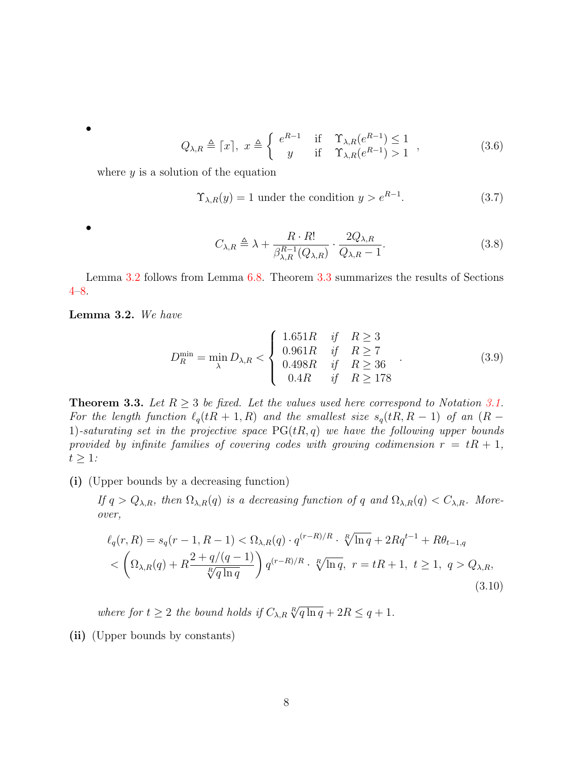•

<span id="page-7-2"></span>
$$
Q_{\lambda,R} \triangleq \lceil x \rceil, \ x \triangleq \begin{cases} e^{R-1} & \text{if } \gamma_{\lambda,R}(e^{R-1}) \le 1 \\ y & \text{if } \gamma_{\lambda,R}(e^{R-1}) > 1 \end{cases} \tag{3.6}
$$

where  $y$  is a solution of the equation

<span id="page-7-3"></span>
$$
\Upsilon_{\lambda,R}(y) = 1
$$
 under the condition  $y > e^{R-1}$ . (3.7)

•

<span id="page-7-4"></span>
$$
C_{\lambda,R} \triangleq \lambda + \frac{R \cdot R!}{\beta_{\lambda,R}^{R-1}(Q_{\lambda,R})} \cdot \frac{2Q_{\lambda,R}}{Q_{\lambda,R}-1}.
$$
 (3.8)

Lemma [3.2](#page-7-0) follows from Lemma [6.8.](#page-19-0) Theorem [3.3](#page-7-1) summarizes the results of Sections [4–](#page-8-0)[8.](#page-22-1)

<span id="page-7-0"></span>Lemma 3.2. We have

<span id="page-7-5"></span>
$$
D_R^{\min} = \min_{\lambda} D_{\lambda,R} < \begin{cases} 1.651R & \text{if } R \ge 3 \\ 0.961R & \text{if } R \ge 7 \\ 0.498R & \text{if } R \ge 36 \\ 0.4R & \text{if } R \ge 178 \end{cases} \tag{3.9}
$$

<span id="page-7-1"></span>**Theorem 3.3.** Let  $R \geq 3$  be fixed. Let the values used here correspond to Notation [3.1.](#page-6-1) For the length function  $\ell_q(tR + 1, R)$  and the smallest size  $s_q(tR, R - 1)$  of an  $(R -$ 1)-saturating set in the projective space  $PG(tR, q)$  we have the following upper bounds provided by infinite families of covering codes with growing codimension  $r = tR + 1$ ,  $t \geq 1$ :

(i) (Upper bounds by a decreasing function)

If  $q > Q_{\lambda,R}$ , then  $\Omega_{\lambda,R}(q)$  is a decreasing function of q and  $\Omega_{\lambda,R}(q) < C_{\lambda,R}$ . Moreover,

$$
\ell_q(r, R) = s_q(r - 1, R - 1) < \Omega_{\lambda, R}(q) \cdot q^{(r - R)/R} \cdot \sqrt[R]{\ln q} + 2Rq^{t - 1} + R\theta_{t - 1, q}
$$
\n
$$
< \left(\Omega_{\lambda, R}(q) + R\frac{2 + q/(q - 1)}{\sqrt[R]{q \ln q}}\right) q^{(r - R)/R} \cdot \sqrt[R]{\ln q}, \ r = tR + 1, \ t \ge 1, \ q > Q_{\lambda, R}, \tag{3.10}
$$

where for  $t \geq 2$  the bound holds if  $C_{\lambda,R} \sqrt[R]{q \ln q} + 2R \leq q+1$ .

(ii) (Upper bounds by constants)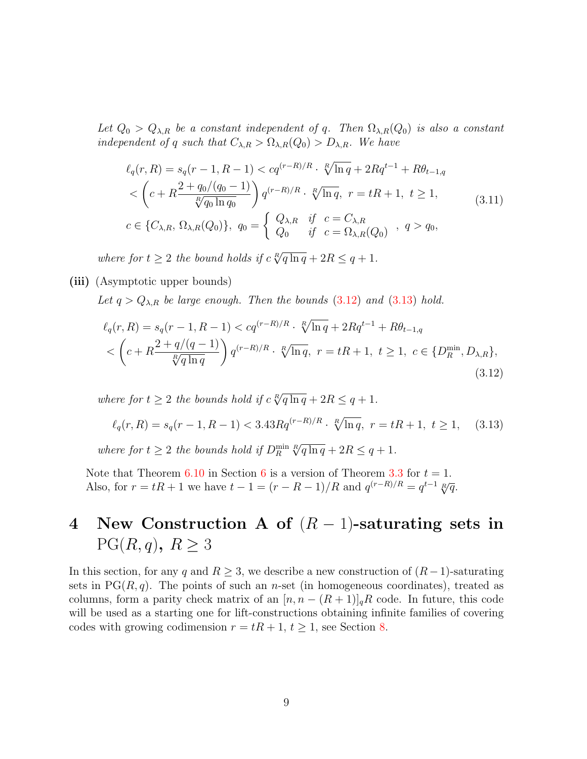Let  $Q_0 > Q_{\lambda,R}$  be a constant independent of q. Then  $\Omega_{\lambda,R}(Q_0)$  is also a constant independent of q such that  $C_{\lambda,R} > \Omega_{\lambda,R}(Q_0) > D_{\lambda,R}$ . We have

$$
\ell_q(r, R) = s_q(r - 1, R - 1) < cq^{(r - R)/R} \cdot \sqrt[R]{\ln q} + 2Rq^{t-1} + R\theta_{t-1,q}
$$
\n
$$
\langle \left( c + R \frac{2 + q_0/(q_0 - 1)}{\sqrt[R]{q_0 \ln q_0}} \right) q^{(r - R)/R} \cdot \sqrt[R]{\ln q}, \ r = tR + 1, \ t \ge 1,
$$
\n
$$
c \in \{ C_{\lambda, R}, \Omega_{\lambda, R}(Q_0) \}, \ q_0 = \begin{cases} Q_{\lambda, R} & \text{if } c = C_{\lambda, R} \\ Q_0 & \text{if } c = \Omega_{\lambda, R}(Q_0) \end{cases}, \ q > q_0,
$$
\n
$$
(3.11)
$$

where for  $t \geq 2$  the bound holds if  $c \sqrt[R]{q \ln q} + 2R \leq q + 1$ .

#### (iii) (Asymptotic upper bounds)

Let  $q > Q_{\lambda,R}$  be large enough. Then the bounds [\(3.12\)](#page-8-1) and [\(3.13\)](#page-8-2) hold.

<span id="page-8-1"></span>
$$
\ell_q(r, R) = s_q(r - 1, R - 1) < cq^{(r - R)/R} \cdot \sqrt[R]{\ln q} + 2Rq^{t-1} + R\theta_{t-1,q}
$$
\n
$$
< \left(c + R\frac{2 + q/(q - 1)}{\sqrt[R]{q \ln q}}\right) q^{(r - R)/R} \cdot \sqrt[R]{\ln q}, \ r = tR + 1, \ t \ge 1, \ c \in \{D_R^{\min}, D_{\lambda, R}\},\tag{3.12}
$$

where for  $t \geq 2$  the bounds hold if  $c \sqrt[R]{q \ln q} + 2R \leq q + 1$ .

<span id="page-8-2"></span>
$$
\ell_q(r,R) = s_q(r-1,R-1) < 3.43Rq^{(r-R)/R} \cdot \sqrt[R]{\ln q}, \ r = tR+1, \ t \ge 1,\tag{3.13}
$$
\nwhere for  $t \ge 2$  the bounds hold if  $D_R^{\min} \sqrt[R]{q \ln q} + 2R \le q+1$ .

Note that Theorem [6.10](#page-20-0) in Section [6](#page-17-0) is a version of Theorem [3.3](#page-7-1) for  $t = 1$ . Also, for  $r = tR + 1$  we have  $t - 1 = (r - R - 1)/R$  and  $q^{(r - R)/R} = q^{t-1} \sqrt[R]{q}$ .

# <span id="page-8-0"></span>4 New Construction A of  $(R-1)$ -saturating sets in  $PG(R, q), R \geq 3$

In this section, for any q and  $R \geq 3$ , we describe a new construction of  $(R-1)$ -saturating sets in  $PG(R, q)$ . The points of such an *n*-set (in homogeneous coordinates), treated as columns, form a parity check matrix of an  $[n, n - (R+1)]_qR$  code. In future, this code will be used as a starting one for lift-constructions obtaining infinite families of covering codes with growing codimension  $r = tR + 1$ ,  $t \ge 1$ , see Section [8.](#page-22-1)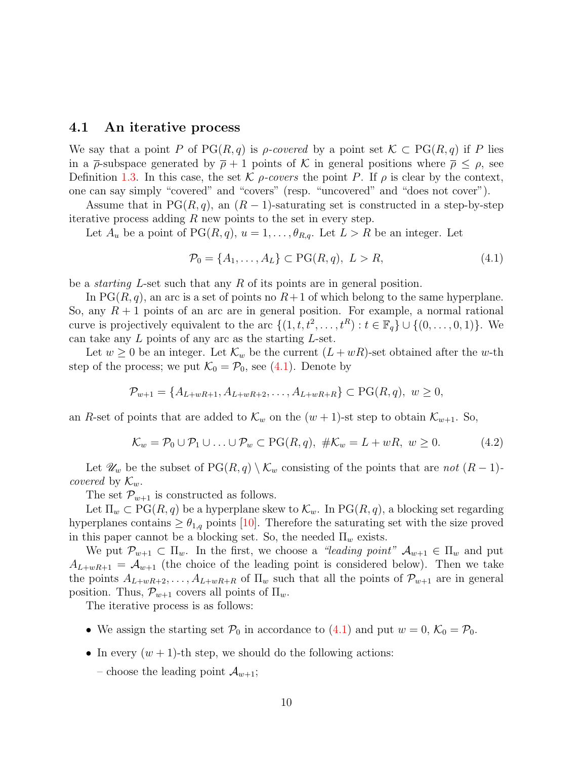#### <span id="page-9-1"></span>4.1 An iterative process

We say that a point P of PG(R, q) is p-covered by a point set  $\mathcal{K} \subset PG(R, q)$  if P lies in a  $\bar{\rho}$ -subspace generated by  $\bar{\rho}$  + 1 points of K in general positions where  $\bar{\rho}$  <  $\rho$ , see Definition [1.3.](#page-2-0) In this case, the set K  $\rho$ -covers the point P. If  $\rho$  is clear by the context, one can say simply "covered" and "covers" (resp. "uncovered" and "does not cover").

Assume that in  $PG(R, q)$ , an  $(R - 1)$ -saturating set is constructed in a step-by-step iterative process adding  $R$  new points to the set in every step.

Let  $A_u$  be a point of  $PG(R, q)$ ,  $u = 1, \ldots, \theta_{R,q}$ . Let  $L > R$  be an integer. Let

<span id="page-9-0"></span>
$$
\mathcal{P}_0 = \{A_1, \dots, A_L\} \subset \text{PG}(R, q), \ L > R,\tag{4.1}
$$

be a starting L-set such that any R of its points are in general position.

In  $PG(R, q)$ , an arc is a set of points no  $R+1$  of which belong to the same hyperplane. So, any  $R + 1$  points of an arc are in general position. For example, a normal rational curve is projectively equivalent to the arc  $\{(1, t, t^2, \ldots, t^R) : t \in \mathbb{F}_q\} \cup \{(0, \ldots, 0, 1)\}.$  We can take any  $L$  points of any arc as the starting  $L$ -set.

Let  $w \geq 0$  be an integer. Let  $\mathcal{K}_w$  be the current  $(L+wR)$ -set obtained after the w-th step of the process; we put  $\mathcal{K}_0 = \mathcal{P}_0$ , see [\(4.1\)](#page-9-0). Denote by

$$
\mathcal{P}_{w+1} = \{A_{L+wR+1}, A_{L+wR+2}, \dots, A_{L+wR+R}\} \subset \text{PG}(R, q), \ w \ge 0,
$$

an R-set of points that are added to  $\mathcal{K}_w$  on the  $(w+1)$ -st step to obtain  $\mathcal{K}_{w+1}$ . So,

<span id="page-9-2"></span>
$$
\mathcal{K}_w = \mathcal{P}_0 \cup \mathcal{P}_1 \cup \ldots \cup \mathcal{P}_w \subset \mathrm{PG}(R,q), \ \# \mathcal{K}_w = L + wR, \ w \ge 0. \tag{4.2}
$$

Let  $\mathscr{U}_w$  be the subset of PG( $R, q$ )  $\setminus \mathcal{K}_w$  consisting of the points that are not  $(R-1)$ covered by  $\mathcal{K}_w$ .

The set  $\mathcal{P}_{w+1}$  is constructed as follows.

Let  $\Pi_w \subset PG(R, q)$  be a hyperplane skew to  $\mathcal{K}_w$ . In  $PG(R, q)$ , a blocking set regarding hyperplanes contains  $\geq \theta_{1,q}$  points [\[10\]](#page-26-10). Therefore the saturating set with the size proved in this paper cannot be a blocking set. So, the needed  $\Pi_w$  exists.

We put  $\mathcal{P}_{w+1} \subset \Pi_w$ . In the first, we choose a "leading point"  $\mathcal{A}_{w+1} \in \Pi_w$  and put  $A_{L+wR+1} = A_{w+1}$  (the choice of the leading point is considered below). Then we take the points  $A_{L+wR+2}, \ldots, A_{L+wR+R}$  of  $\Pi_w$  such that all the points of  $\mathcal{P}_{w+1}$  are in general position. Thus,  $\mathcal{P}_{w+1}$  covers all points of  $\Pi_w$ .

The iterative process is as follows:

- We assign the starting set  $\mathcal{P}_0$  in accordance to [\(4.1\)](#page-9-0) and put  $w = 0$ ,  $\mathcal{K}_0 = \mathcal{P}_0$ .
- In every  $(w + 1)$ -th step, we should do the following actions:
	- choose the leading point  $\mathcal{A}_{w+1}$ ;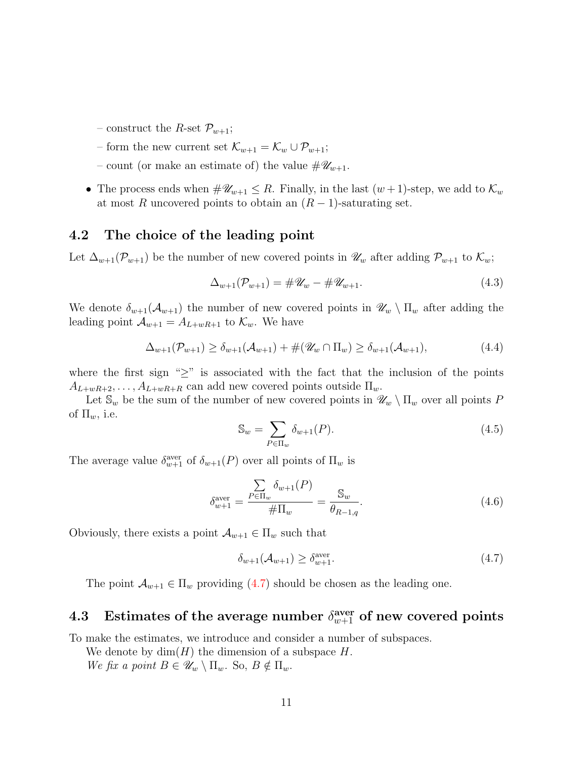- construct the *R*-set  $\mathcal{P}_{w+1}$ ;
- form the new current set  $\mathcal{K}_{w+1} = \mathcal{K}_w \cup \mathcal{P}_{w+1}$ ;
- count (or make an estimate of) the value  $\#\mathscr{U}_{w+1}$ .
- The process ends when  $\#\mathscr{U}_{w+1}\leq R$ . Finally, in the last  $(w+1)$ -step, we add to  $\mathcal{K}_w$ at most R uncovered points to obtain an  $(R-1)$ -saturating set.

#### 4.2 The choice of the leading point

Let  $\Delta_{w+1}(\mathcal{P}_{w+1})$  be the number of new covered points in  $\mathscr{U}_w$  after adding  $\mathcal{P}_{w+1}$  to  $\mathcal{K}_w$ ;

<span id="page-10-3"></span>
$$
\Delta_{w+1}(\mathcal{P}_{w+1}) = \#\mathscr{U}_w - \#\mathscr{U}_{w+1}.
$$
\n(4.3)

We denote  $\delta_{w+1}(\mathcal{A}_{w+1})$  the number of new covered points in  $\mathscr{U}_w \setminus \Pi_w$  after adding the leading point  $\mathcal{A}_{w+1} = A_{L+wR+1}$  to  $\mathcal{K}_w$ . We have

<span id="page-10-4"></span>
$$
\Delta_{w+1}(\mathcal{P}_{w+1}) \ge \delta_{w+1}(\mathcal{A}_{w+1}) + \#(\mathscr{U}_w \cap \Pi_w) \ge \delta_{w+1}(\mathcal{A}_{w+1}),\tag{4.4}
$$

where the first sign " $\geq$ " is associated with the fact that the inclusion of the points  $A_{L+wR+2}, \ldots, A_{L+wR+R}$  can add new covered points outside  $\Pi_w$ .

Let  $\mathbb{S}_w$  be the sum of the number of new covered points in  $\mathscr{U}_w \setminus \Pi_w$  over all points P of  $\Pi_w$ , i.e.

<span id="page-10-1"></span>
$$
\mathbb{S}_w = \sum_{P \in \Pi_w} \delta_{w+1}(P). \tag{4.5}
$$

The average value  $\delta_{w+1}^{\text{aver}}$  of  $\delta_{w+1}(P)$  over all points of  $\Pi_w$  is

<span id="page-10-2"></span>
$$
\delta_{w+1}^{\text{aver}} = \frac{\sum_{P \in \Pi_w} \delta_{w+1}(P)}{\#\Pi_w} = \frac{\mathbb{S}_w}{\theta_{R-1,q}}.
$$
\n(4.6)

Obviously, there exists a point  $\mathcal{A}_{w+1} \in \Pi_w$  such that

<span id="page-10-0"></span>
$$
\delta_{w+1}(\mathcal{A}_{w+1}) \ge \delta_{w+1}^{\text{aver}}.\tag{4.7}
$$

The point  $\mathcal{A}_{w+1} \in \Pi_w$  providing  $(4.7)$  should be chosen as the leading one.

## 4.3 Estimates of the average number  $\delta_{w+1}^{\text{aver}}$  of new covered points

To make the estimates, we introduce and consider a number of subspaces.

We denote by  $\dim(H)$  the dimension of a subspace H. We fix a point  $B \in \mathscr{U}_w \setminus \Pi_w$ . So,  $B \notin \Pi_w$ .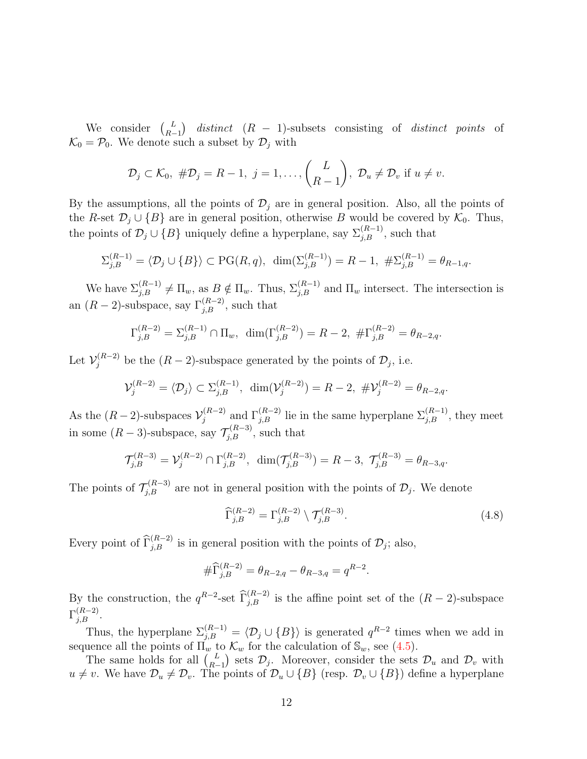We consider  $\begin{pmatrix} L \\ R \end{pmatrix}$  $L_{R-1}$ ) distinct (R – 1)-subsets consisting of distinct points of  $\mathcal{K}_0 = \mathcal{P}_0$ . We denote such a subset by  $\mathcal{D}_i$  with

$$
\mathcal{D}_j\subset\mathcal{K}_0,\ \#\mathcal{D}_j=R-1,\ j=1,\ldots,\binom{L}{R-1},\ \mathcal{D}_u\neq\mathcal{D}_v\ \text{if}\ u\neq v.
$$

By the assumptions, all the points of  $\mathcal{D}_j$  are in general position. Also, all the points of the R-set  $\mathcal{D}_j \cup \{B\}$  are in general position, otherwise B would be covered by  $\mathcal{K}_0$ . Thus, the points of  $\mathcal{D}_j \cup \{B\}$  uniquely define a hyperplane, say  $\Sigma_{j,B}^{(R-1)}$ , such that

$$
\Sigma_{j,B}^{(R-1)} = \langle \mathcal{D}_j \cup \{B\} \rangle \subset \mathrm{PG}(R,q), \ \dim(\Sigma_{j,B}^{(R-1)}) = R-1, \ \#\Sigma_{j,B}^{(R-1)} = \theta_{R-1,q}.
$$

We have  $\Sigma_{j,B}^{(R-1)} \neq \Pi_w$ , as  $B \notin \Pi_w$ . Thus,  $\Sigma_{j,B}^{(R-1)}$  and  $\Pi_w$  intersect. The intersection is an  $(R-2)$ -subspace, say  $\Gamma_{j,B}^{(R-2)}$ , such that

$$
\Gamma_{j,B}^{(R-2)} = \Sigma_{j,B}^{(R-1)} \cap \Pi_w, \ \dim(\Gamma_{j,B}^{(R-2)}) = R - 2, \ \# \Gamma_{j,B}^{(R-2)} = \theta_{R-2,q}.
$$

Let  $\mathcal{V}_j^{(R-2)}$  be the  $(R-2)$ -subspace generated by the points of  $\mathcal{D}_j$ , i.e.

$$
\mathcal{V}_{j}^{(R-2)} = \langle \mathcal{D}_{j} \rangle \subset \Sigma_{j,B}^{(R-1)}, \ \dim(\mathcal{V}_{j}^{(R-2)}) = R - 2, \ \#\mathcal{V}_{j}^{(R-2)} = \theta_{R-2,q}.
$$

As the  $(R-2)$ -subspaces  $\mathcal{V}_i^{(R-2)}$  $j_j^{(R-2)}$  and  $\Gamma_{j,B}^{(R-2)}$  lie in the same hyperplane  $\Sigma_{j,B}^{(R-1)}$ , they meet in some  $(R-3)$ -subspace, say  $\mathcal{T}_{j,B}^{(R-3)}$ , such that

$$
\mathcal{T}_{j,B}^{(R-3)} = \mathcal{V}_j^{(R-2)} \cap \Gamma_{j,B}^{(R-2)}, \ \dim(\mathcal{T}_{j,B}^{(R-3)}) = R-3, \ \mathcal{T}_{j,B}^{(R-3)} = \theta_{R-3,q}.
$$

The points of  $\mathcal{T}_{j,B}^{(R-3)}$  are not in general position with the points of  $\mathcal{D}_j$ . We denote

<span id="page-11-0"></span>
$$
\widehat{\Gamma}_{j,B}^{(R-2)} = \Gamma_{j,B}^{(R-2)} \setminus \mathcal{T}_{j,B}^{(R-3)}.
$$
\n(4.8)

Every point of  $\widehat{\Gamma}_{j,B}^{(R-2)}$  is in general position with the points of  $\mathcal{D}_j$ ; also,

$$
\#\widehat{\Gamma}^{(R-2)}_{j,B} = \theta_{R-2,q} - \theta_{R-3,q} = q^{R-2}.
$$

By the construction, the  $q^{R-2}$ -set  $\widehat{\Gamma}_{j,B}^{(R-2)}$  is the affine point set of the  $(R-2)$ -subspace  $\Gamma_{j,B}^{(R-2)}$ .

Thus, the hyperplane  $\Sigma_{j,B}^{(R-1)} = \langle \mathcal{D}_j \cup \{B\} \rangle$  is generated  $q^{R-2}$  times when we add in sequence all the points of  $\Pi_w$  to  $\mathcal{K}_w$  for the calculation of  $\mathbb{S}_w$ , see [\(4.5\)](#page-10-1).

The same holds for all  $\binom{L}{R}$  $\binom{L}{R-1}$  sets  $\mathcal{D}_j$ . Moreover, consider the sets  $\mathcal{D}_u$  and  $\mathcal{D}_v$  with  $u \neq v$ . We have  $\mathcal{D}_u \neq \mathcal{D}_v$ . The points of  $\mathcal{D}_u \cup \{B\}$  (resp.  $\mathcal{D}_v \cup \{B\}$ ) define a hyperplane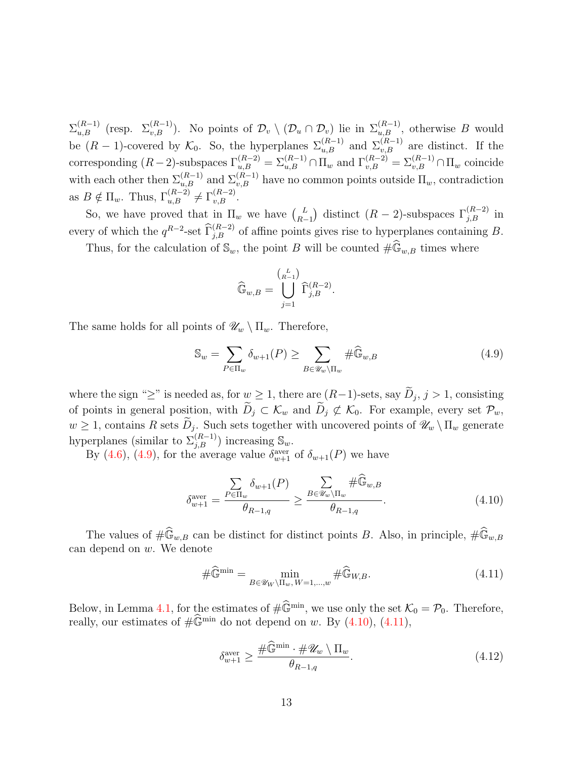$\Sigma_{u,B}^{(R-1)}$  (resp.  $\Sigma_{v,B}^{(R-1)}$ ). No points of  $\mathcal{D}_v \setminus (\mathcal{D}_u \cap \mathcal{D}_v)$  lie in  $\Sigma_{u,B}^{(R-1)}$ , otherwise B would be  $(R-1)$ -covered by  $\mathcal{K}_0$ . So, the hyperplanes  $\Sigma_{u,B}^{(R-1)}$  and  $\Sigma_{v,B}^{(R-1)}$  are distinct. If the corresponding  $(R-2)$ -subspaces  $\Gamma_{u,B}^{(R-2)} = \sum_{u,B}^{(R-1)} \cap \Pi_w$  and  $\Gamma_{v,B}^{(R-2)} = \sum_{v,B}^{(R-1)} \cap \Pi_w$  coincide with each other then  $\Sigma_{u,B}^{(R-1)}$  and  $\Sigma_{v,B}^{(R-1)}$  have no common points outside  $\Pi_w$ , contradiction as  $B \notin \Pi_w$ . Thus,  $\Gamma_{u,B}^{(R-2)} \neq \Gamma_{v,B}^{(R-2)}$ .

So, we have proved that in  $\Pi_w$  we have  $\binom{L}{B}$  $\binom{L}{R-1}$  distinct (R − 2)-subspaces  $\Gamma_{j,B}^{(R-2)}$  in every of which the  $q^{R-2}$ -set  $\widehat{\Gamma}_{j,B}^{(R-2)}$  of affine points gives rise to hyperplanes containing B.

Thus, for the calculation of  $\mathbb{S}_w$ , the point B will be counted  $\#\widehat{\mathbb{G}}_{w,B}$  times where

$$
\widehat{\mathbb{G}}_{w,B} = \bigcup_{j=1}^{\binom{L}{R-1}} \widehat{\Gamma}_{j,B}^{(R-2)}.
$$

The same holds for all points of  $\mathscr{U}_w \setminus \Pi_w$ . Therefore,

<span id="page-12-0"></span>
$$
\mathbb{S}_w = \sum_{P \in \Pi_w} \delta_{w+1}(P) \ge \sum_{B \in \mathscr{U}_w \backslash \Pi_w} \# \widehat{\mathbb{G}}_{w,B}
$$
(4.9)

where the sign "≥" is needed as, for  $w \ge 1$ , there are  $(R-1)$ -sets, say  $D_j$ ,  $j > 1$ , consisting of points in general position, with  $\widetilde{D}_j \subset \mathcal{K}_w$  and  $\widetilde{D}_j \not\subset \mathcal{K}_0$ . For example, every set  $\mathcal{P}_w$ ,  $w \geq 1$ , contains R sets  $D_j$ . Such sets together with uncovered points of  $\mathscr{U}_w \setminus \Pi_w$  generate hyperplanes (similar to  $\Sigma_{j,B}^{(R-1)}$ ) increasing  $\mathbb{S}_w$ .

By [\(4.6\)](#page-10-2), [\(4.9\)](#page-12-0), for the average value  $\delta_{w+1}^{\text{aver}}$  of  $\delta_{w+1}(P)$  we have

<span id="page-12-1"></span>
$$
\delta_{w+1}^{\text{aver}} = \frac{\sum_{P \in \Pi_w} \delta_{w+1}(P)}{\theta_{R-1,q}} \ge \frac{\sum_{B \in \mathscr{U}_w \backslash \Pi_w} \# \widehat{\mathbb{G}}_{w,B}}{\theta_{R-1,q}}.
$$
\n(4.10)

The values of  $\#\widehat{\mathbb{G}}_{w,B}$  can be distinct for distinct points B. Also, in principle,  $\#\widehat{\mathbb{G}}_{w,B}$ can depend on w. We denote

<span id="page-12-2"></span>
$$
\#\widehat{\mathbb{G}}^{\min} = \min_{B \in \mathscr{U}_W \backslash \Pi_w, W = 1, \dots, w} \#\widehat{\mathbb{G}}_{W,B}.
$$
\n(4.11)

Below, in Lemma [4.1,](#page-13-0) for the estimates of  $\#\widehat{\mathbb{G}}^{\min}$ , we use only the set  $\mathcal{K}_0 = \mathcal{P}_0$ . Therefore, really, our estimates of  $\#\widehat{\mathbb{G}}^{\min}$  do not depend on w. By [\(4.10\)](#page-12-1), [\(4.11\)](#page-12-2),

<span id="page-12-3"></span>
$$
\delta_{w+1}^{\text{aver}} \ge \frac{\#\widehat{\mathbb{G}}^{\min} \cdot \#\mathscr{U}_w \setminus \Pi_w}{\theta_{R-1,q}}.\tag{4.12}
$$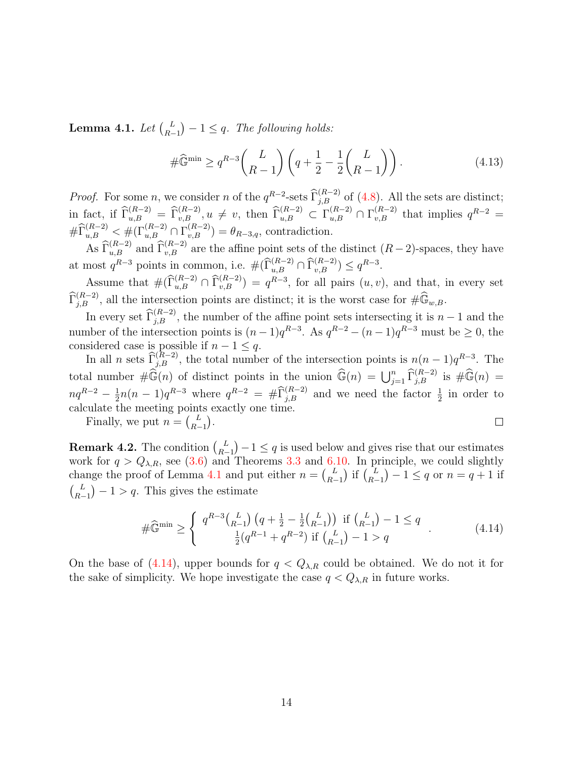<span id="page-13-0"></span>Lemma 4.1. Let  $\binom{L}{R}$  $\binom{L}{R-1} - 1 \leq q$ . The following holds:

<span id="page-13-2"></span>
$$
\#\widehat{\mathbb{G}}^{\min} \ge q^{R-3} \binom{L}{R-1} \left( q + \frac{1}{2} - \frac{1}{2} \binom{L}{R-1} \right). \tag{4.13}
$$

*Proof.* For some n, we consider n of the  $q^{R-2}$ -sets  $\widehat{\Gamma}_{j,B}^{(R-2)}$  of [\(4.8\)](#page-11-0). All the sets are distinct; in fact, if  $\widehat{\Gamma}^{(R-2)}_{u,B} = \widehat{\Gamma}^{(R-2)}_{v,B}, u \neq v$ , then  $\widehat{\Gamma}^{(R-2)}_{u,B} \subset \Gamma^{(R-2)}_{u,B} \cap \Gamma^{(R-2)}_{v,B}$  that implies  $q^{R-2} =$  $\# \widehat{\Gamma}^{(R-2)}_{u,B} \leq \# (\Gamma^{(R-2)}_{u,B} \cap \Gamma^{(R-2)}_{v,B}) = \theta_{R-3,q}$ , contradiction.

As  $\widehat{\Gamma}^{(R-2)}_{u,B}$  and  $\widehat{\Gamma}^{(R-2)}_{v,B}$  are the affine point sets of the distinct  $(R-2)$ -spaces, they have at most  $q^{R-3}$  points in common, i.e.  $\#(\widehat{\Gamma}^{(R-2)}_{u,B} \cap \widehat{\Gamma}^{(R-2)}_{v,B}) \leq q^{R-3}$ .

Assume that  $\#(\widehat{\Gamma}^{(R-2)}_{u,B} \cap \widehat{\Gamma}^{(R-2)}_{v,B}) = q^{R-3}$ , for all pairs  $(u, v)$ , and that, in every set  $\widehat{\Gamma}_{j,B}^{(R-2)}$ , all the intersection points are distinct; it is the worst case for  $\#\widehat{\mathbb{G}}_{w,B}$ .

In every set  $\widehat{\Gamma}_{j,B}^{(R-2)}$ , the number of the affine point sets intersecting it is  $n-1$  and the number of the intersection points is  $(n-1)q^{R-3}$ . As  $q^{R-2} - (n-1)q^{R-3}$  must be  $\geq 0$ , the considered case is possible if  $n - 1 \leq q$ .

In all n sets  $\widehat{\Gamma}^{(R-2)}_{j,B}$ , the total number of the intersection points is  $n(n-1)q^{R-3}$ . The total number  $\#\widehat{\mathbb{G}}(n)$  of distinct points in the union  $\widehat{\mathbb{G}}(n) = \bigcup_{j=1}^n \widehat{\Gamma}_{j,B}^{(R-2)}$  is  $\#\widehat{\mathbb{G}}(n) =$  $\frac{1}{2}n(n-1)q^{R-3}$  where  $q^{R-2} = #\widehat{\Gamma}_{j,B}^{(R-2)}$  and we need the factor  $\frac{1}{2}$  in order to  $nq^{R-2}-\frac{1}{2}$ calculate the meeting points exactly one time.  $\Box$ 

Finally, we put  $n = \begin{pmatrix} L \\ R \end{pmatrix}$  $_{R-1}^L$ ).

**Remark 4.2.** The condition  $\binom{L}{R}$  $\binom{L}{R-1} - 1 \leq q$  is used below and gives rise that our estimates work for  $q > Q_{\lambda,R}$ , see [\(3.6\)](#page-7-2) and Theorems [3.3](#page-7-1) and [6.10.](#page-20-0) In principle, we could slightly change the proof of Lemma [4.1](#page-13-0) and put either  $n = \begin{pmatrix} L \\ R \end{pmatrix}$  $_{R-1}^{L}$ ) if  $_{R-1}^{L}$  $\binom{L}{R-1} - 1 \leq q \text{ or } n = q+1 \text{ if }$  $\int_{D}$  $\binom{L}{R-1} - 1 > q$ . This gives the estimate

<span id="page-13-1"></span>
$$
\#\widehat{\mathbb{G}}^{\min} \geq \begin{cases} q^{R-3} {L \choose R-1} \left( q + \frac{1}{2} - \frac{1}{2} {L \choose R-1} \right) & \text{if } {L \choose R-1} - 1 \leq q \\ \frac{1}{2} (q^{R-1} + q^{R-2}) & \text{if } {L \choose R-1} - 1 > q \end{cases} . \tag{4.14}
$$

On the base of [\(4.14\)](#page-13-1), upper bounds for  $q < Q_{\lambda,R}$  could be obtained. We do not it for the sake of simplicity. We hope investigate the case  $q < Q_{\lambda,R}$  in future works.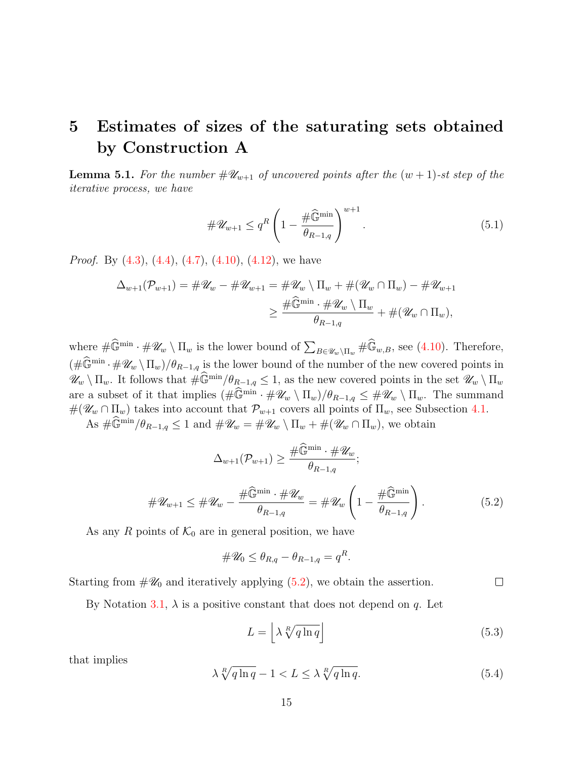## <span id="page-14-0"></span>5 Estimates of sizes of the saturating sets obtained by Construction A

**Lemma 5.1.** For the number  $\#\mathscr{U}_{w+1}$  of uncovered points after the  $(w + 1)$ -st step of the iterative process, we have

<span id="page-14-3"></span>
$$
\#\mathscr{U}_{w+1} \le q^R \left(1 - \frac{\#\widehat{\mathbb{G}}^{\min}}{\theta_{R-1,q}}\right)^{w+1}.\tag{5.1}
$$

*Proof.* By  $(4.3)$ ,  $(4.4)$ ,  $(4.7)$ ,  $(4.10)$ ,  $(4.12)$ , we have

$$
\Delta_{w+1}(\mathcal{P}_{w+1}) = #\mathscr{U}_w - #\mathscr{U}_{w+1} = #\mathscr{U}_w \setminus \Pi_w + #(\mathscr{U}_w \cap \Pi_w) - #\mathscr{U}_{w+1}
$$

$$
\geq \frac{\#\widehat{\mathbb{G}}^{\min} \cdot #\mathscr{U}_w \setminus \Pi_w}{\theta_{R-1,q}} + #(\mathscr{U}_w \cap \Pi_w),
$$

where  $\#\widehat{\mathbb{G}}^{\min}\cdot\#\mathscr{U}_w\setminus\Pi_w$  is the lower bound of  $\sum_{B\in\mathscr{U}_w\setminus\Pi_w}\#\widehat{\mathbb{G}}_{w,B}$ , see [\(4.10\)](#page-12-1). Therefore,  $(\#\widehat{\mathbb{G}}^{\min} \cdot \#\mathscr{U}_w \setminus \Pi_w)/\theta_{R-1,q}$  is the lower bound of the number of the new covered points in  $\mathscr{U}_w \setminus \Pi_w$ . It follows that  $\#\widehat{\mathbb{G}}^{\min}/\theta_{R-1,q} \leq 1$ , as the new covered points in the set  $\mathscr{U}_w \setminus \Pi_w$ are a subset of it that implies  $(\#\widehat{\mathbb{G}}^{\min} \cdot \#\mathscr{U}_w \setminus \Pi_w)/\theta_{R-1,q} \leq \#\mathscr{U}_w \setminus \Pi_w$ . The summand  $\#(\mathscr{U}_w \cap \Pi_w)$  takes into account that  $\mathcal{P}_{w+1}$  covers all points of  $\Pi_w$ , see Subsection [4.1.](#page-9-1)

As  $\#\widehat{\mathbb{G}}^{\min}/\theta_{R-1,q} \leq 1$  and  $\#\mathscr{U}_w = \#\mathscr{U}_w \setminus \Pi_w + \#(\mathscr{U}_w \cap \Pi_w)$ , we obtain

<span id="page-14-1"></span>
$$
\Delta_{w+1}(\mathcal{P}_{w+1}) \geq \frac{\#\widehat{\mathbb{G}}^{\min} \cdot \#\mathscr{U}_{w}}{\theta_{R-1,q}};
$$
  

$$
\#\mathscr{U}_{w+1} \leq \#\mathscr{U}_{w} - \frac{\#\widehat{\mathbb{G}}^{\min} \cdot \#\mathscr{U}_{w}}{\theta_{R-1,q}} = \#\mathscr{U}_{w} \left(1 - \frac{\#\widehat{\mathbb{G}}^{\min}}{\theta_{R-1,q}}\right).
$$
(5.2)

As any R points of  $\mathcal{K}_0$  are in general position, we have

$$
\#\mathscr{U}_0 \leq \theta_{R,q} - \theta_{R-1,q} = q^R.
$$

Starting from  $\#\mathscr{U}_0$  and iteratively applying  $(5.2)$ , we obtain the assertion.  $\Box$ 

By Notation [3.1,](#page-6-1)  $\lambda$  is a positive constant that does not depend on q. Let

<span id="page-14-4"></span>
$$
L = \left[ \lambda \sqrt[R]{q \ln q} \right] \tag{5.3}
$$

that implies

<span id="page-14-2"></span>
$$
\lambda \sqrt[R]{q \ln q} - 1 < L \le \lambda \sqrt[R]{q \ln q}.\tag{5.4}
$$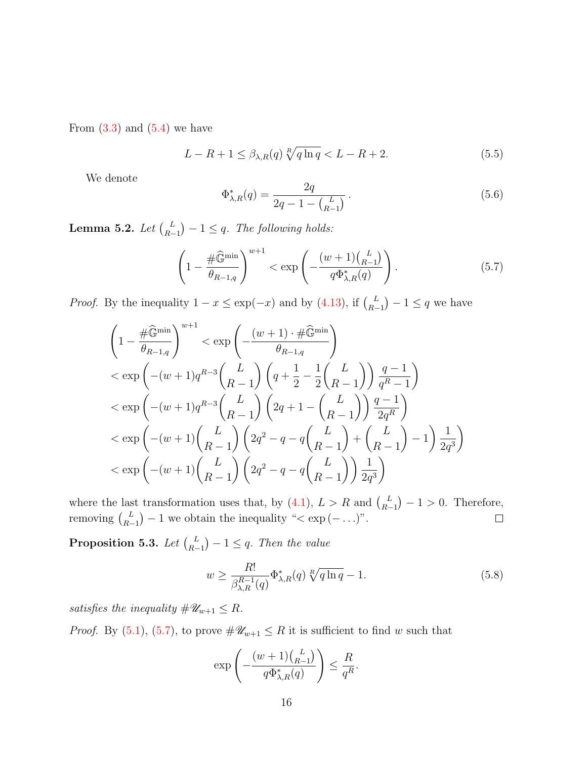From  $(3.3)$  and  $(5.4)$  we have

<span id="page-15-1"></span>
$$
L - R + 1 \le \beta_{\lambda, R}(q) \sqrt[R]{q \ln q} < L - R + 2. \tag{5.5}
$$

We denote

<span id="page-15-2"></span>
$$
\Phi_{\lambda,R}^*(q) = \frac{2q}{2q - 1 - {L \choose R-1}}.
$$
\n(5.6)

Lemma 5.2. Let  $\binom{L}{R}$  $\binom{L}{R-1} - 1 \leq q$ . The following holds:

<span id="page-15-0"></span>
$$
\left(1 - \frac{\#\widehat{\mathbb{G}}^{\min}}{\theta_{R-1,q}}\right)^{w+1} < \exp\left(-\frac{(w+1)\binom{L}{R-1}}{q\Phi_{\lambda,R}^*(q)}\right). \tag{5.7}
$$

*Proof.* By the inequality  $1 - x \leq \exp(-x)$  and by [\(4.13\)](#page-13-2), if  $\binom{L}{R}$  $\binom{L}{R-1} - 1 \leq q$  we have

$$
\left(1 - \frac{\#\widehat{\mathbb{G}}^{\min}}{\theta_{R-1,q}}\right)^{w+1} < \exp\left(-\frac{(w+1)\cdot\#\widehat{\mathbb{G}}^{\min}}{\theta_{R-1,q}}\right) \n< \exp\left(-(w+1)q^{R-3}\binom{L}{R-1}\left(q + \frac{1}{2} - \frac{1}{2}\binom{L}{R-1}\right)\frac{q-1}{q^R-1}\right) \n< \exp\left(-(w+1)q^{R-3}\binom{L}{R-1}\left(2q + 1 - \binom{L}{R-1}\right)\frac{q-1}{2q^R}\right) \n< \exp\left(-(w+1)\binom{L}{R-1}\left(2q^2 - q - q\binom{L}{R-1} + \binom{L}{R-1} - 1\right)\frac{1}{2q^3}\right) \n< \exp\left(-(w+1)\binom{L}{R-1}\left(2q^2 - q - q\binom{L}{R-1}\right)\frac{1}{2q^3}\right)
$$

where the last transformation uses that, by  $(4.1)$ ,  $L > R$  and  $\binom{L}{R}$  $\binom{L}{R-1} - 1 > 0$ . Therefore, removing  $\binom{L}{R}$  $\binom{L}{R-1} - 1$  we obtain the inequality "< exp  $(- \ldots)$ ".

<span id="page-15-3"></span>Proposition 5.3. Let  $\binom{L}{R}$  $\binom{L}{R-1} - 1 \leq q$ . Then the value

<span id="page-15-4"></span>
$$
w \ge \frac{R!}{\beta_{\lambda,R}^{R-1}(q)} \Phi_{\lambda,R}^*(q) \sqrt[R]{q \ln q} - 1.
$$
 (5.8)

satisfies the inequality  $\#\mathscr{U}_{w+1} \leq R$ .

*Proof.* By [\(5.1\)](#page-14-3), [\(5.7\)](#page-15-0), to prove  $\#\mathscr{U}_{w+1} \leq R$  it is sufficient to find w such that

$$
\exp\left(-\frac{(w+1)\binom{L}{R-1}}{q\Phi_{\lambda,R}^*(q)}\right) \le \frac{R}{q^R}.
$$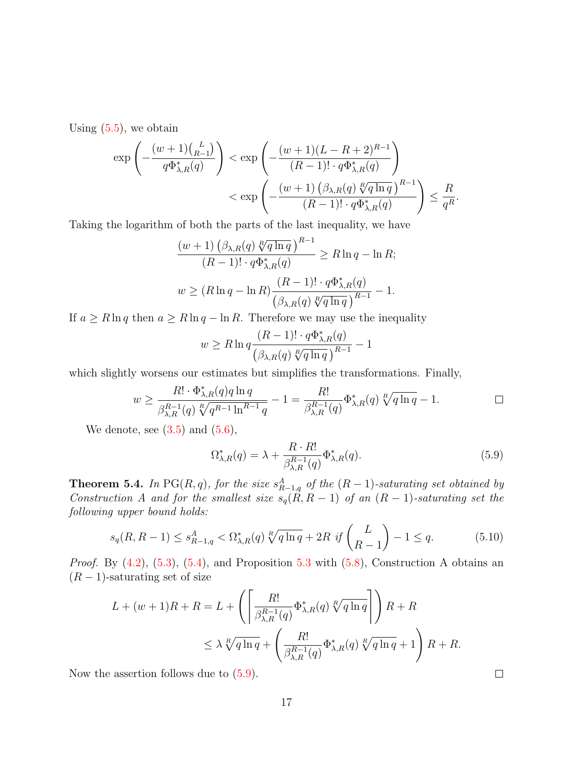Using  $(5.5)$ , we obtain

$$
\exp\left(-\frac{(w+1)\binom{L}{R-1}}{q\Phi_{\lambda,R}^*(q)}\right) < \exp\left(-\frac{(w+1)(L-R+2)^{R-1}}{(R-1)!\cdot q\Phi_{\lambda,R}^*(q)}\right) \\
&< \exp\left(-\frac{(w+1)\left(\beta_{\lambda,R}(q)\sqrt[R]{q\ln q}\right)^{R-1}}{(R-1)!\cdot q\Phi_{\lambda,R}^*(q)}\right) \leq \frac{R}{q^R}.
$$

Taking the logarithm of both the parts of the last inequality, we have

$$
\frac{(w+1)\left(\beta_{\lambda,R}(q)\sqrt[R]{q\ln q}\right)^{R-1}}{(R-1)!\cdot q\Phi_{\lambda,R}^*(q)} \ge R\ln q - \ln R;
$$
  

$$
w \ge (R\ln q - \ln R)\frac{(R-1)!\cdot q\Phi_{\lambda,R}^*(q)}{\left(\beta_{\lambda,R}(q)\sqrt[R]{q\ln q}\right)^{R-1}} - 1.
$$

If  $a \ge R \ln q$  then  $a \ge R \ln q - \ln R$ . Therefore we may use the inequality

$$
w \ge R \ln q \frac{(R-1)! \cdot q \Phi_{\lambda,R}^*(q)}{\left(\beta_{\lambda,R}(q) \sqrt[R]{q \ln q}\right)^{R-1}} - 1
$$

which slightly worsens our estimates but simplifies the transformations. Finally,

$$
w \ge \frac{R! \cdot \Phi_{\lambda,R}^*(q) q \ln q}{\beta_{\lambda,R}^{R-1}(q) \sqrt[R]{q^{R-1} \ln^{R-1} q}} - 1 = \frac{R!}{\beta_{\lambda,R}^{R-1}(q)} \Phi_{\lambda,R}^*(q) \sqrt[R]{q \ln q} - 1.
$$

We denote, see  $(3.5)$  and  $(5.6)$ ,

<span id="page-16-0"></span>
$$
\Omega_{\lambda,R}^*(q) = \lambda + \frac{R \cdot R!}{\beta_{\lambda,R}^{R-1}(q)} \Phi_{\lambda,R}^*(q). \tag{5.9}
$$

**Theorem 5.4.** In PG(R,q), for the size  $s_{R-1,q}^A$  of the  $(R-1)$ -saturating set obtained by Construction A and for the smallest size  $s_q(R, R-1)$  of an  $(R-1)$ -saturating set the following upper bound holds:

<span id="page-16-1"></span>
$$
s_q(R, R-1) \le s_{R-1,q}^A < \Omega_{\lambda,R}^*(q) \sqrt[R]{q \ln q} + 2R \, \, \text{if} \, \binom{L}{R-1} - 1 \le q. \tag{5.10}
$$

*Proof.* By  $(4.2)$ ,  $(5.3)$  $(5.3)$  $(5.3)$ ,  $(5.4)$ , and Proposition 5.3 with  $(5.8)$ , Construction A obtains an  $(R-1)$ -saturating set of size

$$
L + (w+1)R + R = L + \left( \left[ \frac{R!}{\beta_{\lambda,R}^{R-1}(q)} \Phi_{\lambda,R}^*(q) \sqrt[R]{q \ln q} \right] \right) R + R
$$
  

$$
\leq \lambda \sqrt[R]{q \ln q} + \left( \frac{R!}{\beta_{\lambda,R}^{R-1}(q)} \Phi_{\lambda,R}^*(q) \sqrt[R]{q \ln q} + 1 \right) R + R.
$$

Now the assertion follows due to  $(5.9)$ .

 $\Box$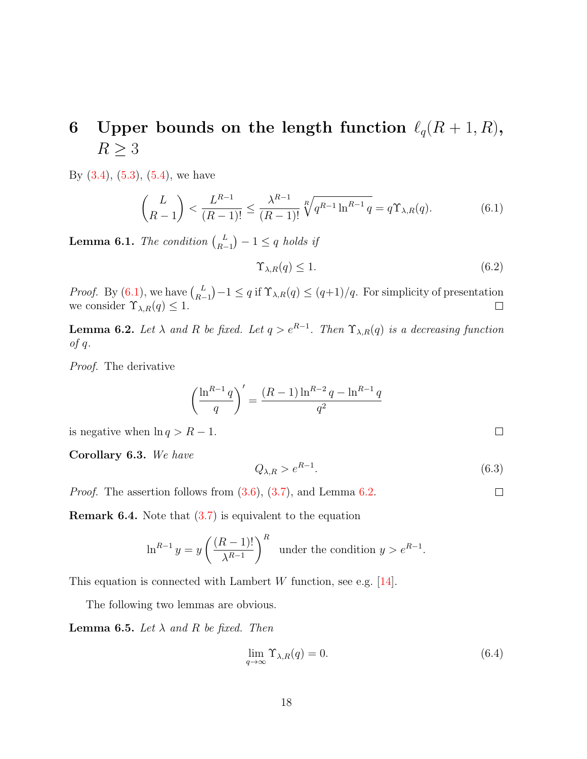# <span id="page-17-0"></span>6 Upper bounds on the length function  $\ell_q(R + 1, R)$ ,  $R \geq 3$

By  $(3.4)$ ,  $(5.3)$ ,  $(5.4)$ , we have

<span id="page-17-1"></span>
$$
\binom{L}{R-1} < \frac{L^{R-1}}{(R-1)!} \le \frac{\lambda^{R-1}}{(R-1)!} \sqrt[R]{q^{R-1} \ln^{R-1} q} = q \Upsilon_{\lambda,R}(q). \tag{6.1}
$$

**Lemma 6.1.** The condition  $\begin{pmatrix} L \\ R \end{pmatrix}$  $\binom{L}{R-1} - 1 \leq q$  holds if

$$
\Upsilon_{\lambda,R}(q) \le 1. \tag{6.2}
$$

*Proof.* By  $(6.1)$ , we have  $\binom{L}{R}$  $\binom{L}{R-1} - 1 \leq q$  if  $\Upsilon_{\lambda,R}(q) \leq (q+1)/q$ . For simplicity of presentation we consider  $\Upsilon_{\lambda,R}(q) \leq 1$ .

<span id="page-17-2"></span>**Lemma 6.2.** Let  $\lambda$  and R be fixed. Let  $q > e^{R-1}$ . Then  $\Upsilon_{\lambda,R}(q)$  is a decreasing function  $of q.$ 

Proof. The derivative

$$
\left(\frac{\ln^{R-1}q}{q}\right)' = \frac{(R-1)\ln^{R-2}q - \ln^{R-1}q}{q^2}
$$

is negative when  $\ln q > R - 1$ .

<span id="page-17-3"></span>Corollary 6.3. We have

$$
Q_{\lambda,R} > e^{R-1}.\tag{6.3}
$$

 $\Box$ 

 $\Box$ 

*Proof.* The assertion follows from  $(3.6)$ ,  $(3.7)$ , and Lemma [6.2.](#page-17-2)

**Remark 6.4.** Note that  $(3.7)$  is equivalent to the equation

$$
\ln^{R-1} y = y \left( \frac{(R-1)!}{\lambda^{R-1}} \right)^R \quad \text{under the condition } y > e^{R-1}.
$$

This equation is connected with Lambert W function, see e.g.  $[14]$ .

The following two lemmas are obvious.

**Lemma 6.5.** Let  $\lambda$  and R be fixed. Then

<span id="page-17-4"></span>
$$
\lim_{q \to \infty} \Upsilon_{\lambda,R}(q) = 0. \tag{6.4}
$$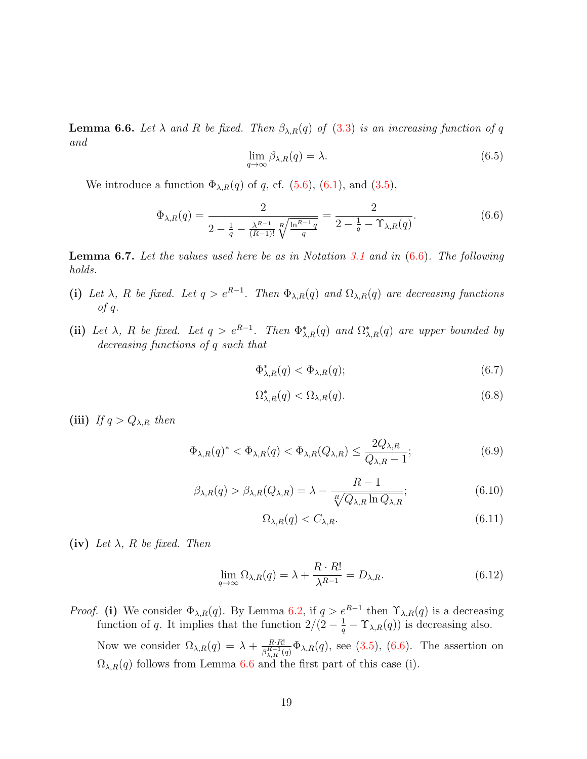<span id="page-18-1"></span>**Lemma 6.6.** Let  $\lambda$  and  $R$  be fixed. Then  $\beta_{\lambda,R}(q)$  of [\(3.3\)](#page-6-2) is an increasing function of q and

<span id="page-18-7"></span>
$$
\lim_{q \to \infty} \beta_{\lambda,R}(q) = \lambda. \tag{6.5}
$$

We introduce a function  $\Phi_{\lambda,R}(q)$  of q, cf. [\(5.6\)](#page-15-2), [\(6.1\)](#page-17-1), and [\(3.5\)](#page-6-3),

<span id="page-18-0"></span>
$$
\Phi_{\lambda,R}(q) = \frac{2}{2 - \frac{1}{q} - \frac{\lambda^{R-1}}{(R-1)!} \sqrt[R]{\frac{\ln^{R-1}q}{q}}} = \frac{2}{2 - \frac{1}{q} - \Upsilon_{\lambda,R}(q)}.
$$
\n(6.6)

<span id="page-18-8"></span>**Lemma 6.7.** Let the values used here be as in Notation [3.1](#page-6-1) and in  $(6.6)$ . The following holds.

- (i) Let  $\lambda$ , R be fixed. Let  $q > e^{R-1}$ . Then  $\Phi_{\lambda,R}(q)$  and  $\Omega_{\lambda,R}(q)$  are decreasing functions of  $q$ .
- (ii) Let  $\lambda$ , R be fixed. Let  $q > e^{R-1}$ . Then  $\Phi_{\lambda,R}^*(q)$  and  $\Omega_{\lambda,R}^*(q)$  are upper bounded by decreasing functions of q such that

<span id="page-18-2"></span> $\Phi_{\lambda,R}^*(q) < \Phi_{\lambda,R}(q);$ (6.7)

<span id="page-18-3"></span>
$$
\Omega_{\lambda,R}^*(q) < \Omega_{\lambda,R}(q). \tag{6.8}
$$

(iii) If  $q > Q_{\lambda,R}$  then

<span id="page-18-5"></span>
$$
\Phi_{\lambda,R}(q)^* < \Phi_{\lambda,R}(q) < \Phi_{\lambda,R}(Q_{\lambda,R}) \le \frac{2Q_{\lambda,R}}{Q_{\lambda,R}-1};\tag{6.9}
$$

<span id="page-18-4"></span>
$$
\beta_{\lambda,R}(q) > \beta_{\lambda,R}(Q_{\lambda,R}) = \lambda - \frac{R-1}{\sqrt[R]{Q_{\lambda,R}\ln Q_{\lambda,R}}};\tag{6.10}
$$

<span id="page-18-6"></span>
$$
\Omega_{\lambda,R}(q) < C_{\lambda,R}.\tag{6.11}
$$

(iv) Let  $\lambda$ , R be fixed. Then

$$
\lim_{q \to \infty} \Omega_{\lambda,R}(q) = \lambda + \frac{R \cdot R!}{\lambda^{R-1}} = D_{\lambda,R}.
$$
\n(6.12)

*Proof.* (i) We consider  $\Phi_{\lambda,R}(q)$ . By Lemma [6.2,](#page-17-2) if  $q > e^{R-1}$  then  $\Upsilon_{\lambda,R}(q)$  is a decreasing function of q. It implies that the function  $2/(2 - \frac{1}{q} - \Upsilon_{\lambda,R}(q))$  is decreasing also.

Now we consider  $\Omega_{\lambda,R}(q) = \lambda + \frac{R \cdot R!}{q^{R-1}q}$  $\frac{R \cdot R!}{\beta_{\lambda,R}^{R-1}(q)} \Phi_{\lambda,R}(q)$ , see [\(3.5\)](#page-6-3), [\(6.6\)](#page-18-0). The assertion on  $\Omega_{\lambda,R}(q)$  follows from Lemma [6.6](#page-18-1) and the first part of this case (i).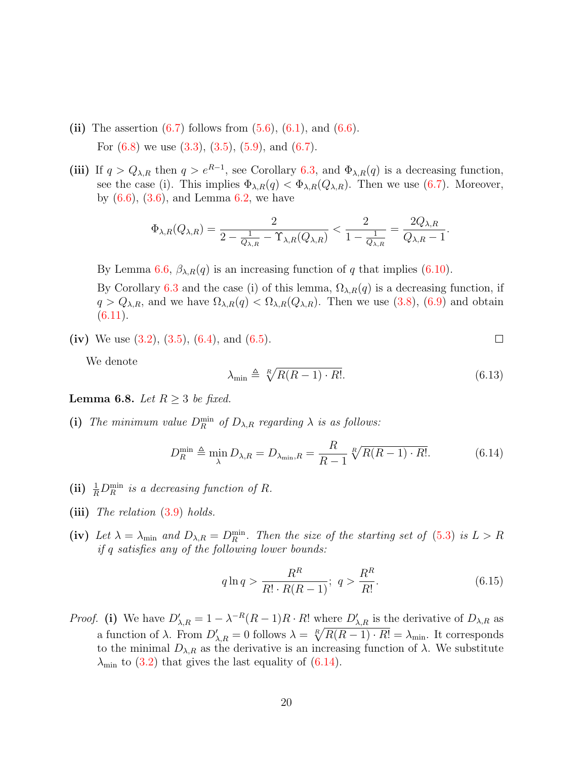- (ii) The assertion  $(6.7)$  follows from  $(5.6)$ ,  $(6.1)$ , and  $(6.6)$ . For  $(6.8)$  we use  $(3.3)$ ,  $(3.5)$ ,  $(5.9)$ , and  $(6.7)$ .
- (iii) If  $q > Q_{\lambda,R}$  then  $q > e^{R-1}$ , see Corollary [6.3,](#page-17-3) and  $\Phi_{\lambda,R}(q)$  is a decreasing function, see the case (i). This implies  $\Phi_{\lambda,R}(q) < \Phi_{\lambda,R}(Q_{\lambda,R})$ . Then we use [\(6.7\)](#page-18-2). Moreover, by  $(6.6)$ ,  $(3.6)$ , and Lemma [6.2,](#page-17-2) we have

$$
\Phi_{\lambda,R}(Q_{\lambda,R}) = \frac{2}{2 - \frac{1}{Q_{\lambda,R}} - \Upsilon_{\lambda,R}(Q_{\lambda,R})} < \frac{2}{1 - \frac{1}{Q_{\lambda,R}}} = \frac{2Q_{\lambda,R}}{Q_{\lambda,R} - 1}.
$$

By Lemma [6.6,](#page-18-1)  $\beta_{\lambda,R}(q)$  is an increasing function of q that implies [\(6.10\)](#page-18-4).

By Corollary [6.3](#page-17-3) and the case (i) of this lemma,  $\Omega_{\lambda,R}(q)$  is a decreasing function, if  $q > Q_{\lambda,R}$ , and we have  $\Omega_{\lambda,R}(q) < \Omega_{\lambda,R}(Q_{\lambda,R})$ . Then we use [\(3.8\)](#page-7-4), [\(6.9\)](#page-18-5) and obtain  $(6.11).$  $(6.11).$ 

(iv) We use  $(3.2)$ ,  $(3.5)$ ,  $(6.4)$ , and  $(6.5)$ .

We denote

<span id="page-19-2"></span>
$$
\lambda_{\min} \triangleq \sqrt[R]{R(R-1) \cdot R!}.\tag{6.13}
$$

 $\Box$ 

<span id="page-19-0"></span>**Lemma 6.8.** Let  $R \geq 3$  be fixed.

(i) The minimum value  $D_R^{\min}$  of  $D_{\lambda,R}$  regarding  $\lambda$  is as follows:

<span id="page-19-1"></span>
$$
D_R^{\min} \triangleq \min_{\lambda} D_{\lambda,R} = D_{\lambda_{\min},R} = \frac{R}{R-1} \sqrt[R]{R(R-1) \cdot R!}. \tag{6.14}
$$

- (ii)  $\frac{1}{R}D_R^{\min}$  is a decreasing function of R.
- (iii) The relation  $(3.9)$  holds.
- (iv) Let  $\lambda = \lambda_{\min}$  and  $D_{\lambda,R} = D_R^{\min}$ . Then the size of the starting set of [\(5.3\)](#page-14-4) is  $L > R$ if q satisfies any of the following lower bounds:

$$
q \ln q > \frac{R^R}{R! \cdot R(R-1)}; \ q > \frac{R^R}{R!}.
$$
\n(6.15)

*Proof.* (i) We have  $D'_{\lambda,R} = 1 - \lambda^{-R}(R-1)R \cdot R!$  where  $D'_{\lambda,R}$  is the derivative of  $D_{\lambda,R}$  as a function of  $\lambda$ . From  $D'_{\lambda,R} = 0$  follows  $\lambda = \sqrt[R]{R(R-1) \cdot R!} = \lambda_{\min}$ . It corresponds to the minimal  $D_{\lambda,R}$  as the derivative is an increasing function of  $\lambda$ . We substitute  $\lambda_{\min}$  to [\(3.2\)](#page-6-5) that gives the last equality of [\(6.14\)](#page-19-1).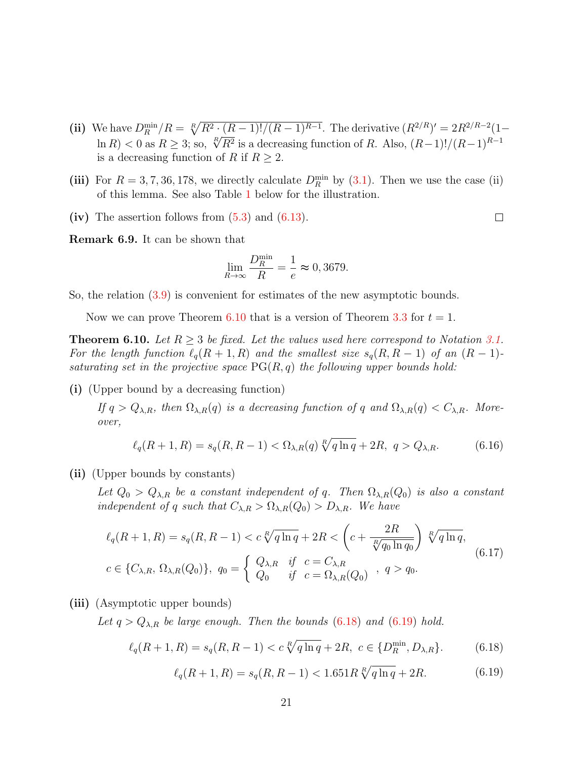- (ii) We have  $D_R^{\min}/R = \sqrt[R]{R^2 \cdot (R-1)!/(R-1)^{R-1}}$ . The derivative  $(R^{2/R})' = 2R^{2/R-2}(1-R)$ ve nave  $D_R$   $\neq R = \sqrt{R^2 + (R-1)!/(R-1)^2}$ . The derivative  $(R \mid \cdot ) = 2R$  is  $\geq 0$  as  $R \geq 3$ ; so,  $\sqrt[R]{R^2}$  is a decreasing function of R. Also,  $(R-1)!/(R-1)^{R-1}$ is a decreasing function of R if  $R \geq 2$ .
- (iii) For  $R = 3, 7, 36, 178$ , we directly calculate  $D_R^{\min}$  by [\(3.1\)](#page-6-6). Then we use the case (ii) of this lemma. See also Table [1](#page-21-0) below for the illustration.
- (iv) The assertion follows from  $(5.3)$  and  $(6.13)$ .

Remark 6.9. It can be shown that

$$
\lim_{R \to \infty} \frac{D_R^{\min}}{R} = \frac{1}{e} \approx 0,3679.
$$

So, the relation [\(3.9\)](#page-7-5) is convenient for estimates of the new asymptotic bounds.

Now we can prove Theorem [6.10](#page-20-0) that is a version of Theorem [3.3](#page-7-1) for  $t = 1$ .

<span id="page-20-0"></span>**Theorem 6.10.** Let  $R \geq 3$  be fixed. Let the values used here correspond to Notation [3.1.](#page-6-1) For the length function  $\ell_q(R + 1, R)$  and the smallest size  $s_q(R, R - 1)$  of an  $(R - 1)$ saturating set in the projective space  $PG(R, q)$  the following upper bounds hold:

(i) (Upper bound by a decreasing function)

If  $q > Q_{\lambda,R}$ , then  $\Omega_{\lambda,R}(q)$  is a decreasing function of q and  $\Omega_{\lambda,R}(q) < C_{\lambda,R}$ . Moreover,

$$
\ell_q(R+1,R) = s_q(R,R-1) < \Omega_{\lambda,R}(q) \sqrt[R]{q \ln q} + 2R, \ q > Q_{\lambda,R}.\tag{6.16}
$$

(ii) (Upper bounds by constants)

Let  $Q_0 > Q_{\lambda,R}$  be a constant independent of q. Then  $\Omega_{\lambda,R}(Q_0)$  is also a constant independent of q such that  $C_{\lambda,R} > \Omega_{\lambda,R}(Q_0) > D_{\lambda,R}$ . We have

<span id="page-20-3"></span>
$$
\ell_q(R+1, R) = s_q(R, R-1) < c \sqrt[R]{q \ln q} + 2R < \left(c + \frac{2R}{\sqrt[R]{q_0 \ln q_0}}\right) \sqrt[R]{q \ln q},
$$
\n
$$
c \in \{C_{\lambda, R}, \Omega_{\lambda, R}(Q_0)\}, \ q_0 = \begin{cases} Q_{\lambda, R} & \text{if } c = C_{\lambda, R} \\ Q_0 & \text{if } c = \Omega_{\lambda, R}(Q_0) \end{cases}, \ q > q_0. \tag{6.17}
$$

(iii) (Asymptotic upper bounds)

Let  $q > Q_{\lambda,R}$  be large enough. Then the bounds [\(6.18\)](#page-20-1) and [\(6.19\)](#page-20-2) hold.

<span id="page-20-2"></span><span id="page-20-1"></span>
$$
\ell_q(R+1,R) = s_q(R,R-1) < c \sqrt[R]{q \ln q} + 2R, \ c \in \{D_R^{\min}, D_{\lambda,R}\}. \tag{6.18}
$$

$$
\ell_q(R+1,R) = s_q(R,R-1) < 1.651R \sqrt[R]{q \ln q} + 2R. \tag{6.19}
$$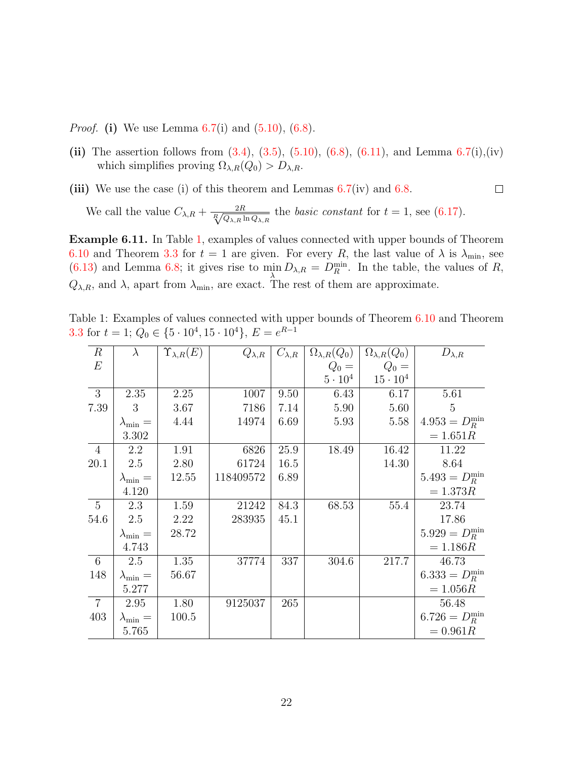*Proof.* (i) We use Lemma  $6.7(i)$  $6.7(i)$  and  $(5.10)$ ,  $(6.8)$ .

- (ii) The assertion follows from  $(3.4)$ ,  $(3.5)$ ,  $(5.10)$ ,  $(6.8)$ ,  $(6.11)$ , and Lemma  $6.7(i)$  $6.7(i)$ ,  $(iv)$ which simplifies proving  $\Omega_{\lambda,R}(Q_0) > D_{\lambda,R}$ .
- (iii) We use the case (i) of this theorem and Lemmas  $6.7(iv)$  $6.7(iv)$  and  $6.8$ .

 $\Box$ 

We call the value  $C_{\lambda,R} + \frac{2R}{\sqrt[R]{Q_{\lambda,R} \ln Q_{\lambda,R}}}$  the *basic constant* for  $t = 1$ , see [\(6.17\)](#page-20-3).

Example 6.11. In Table [1,](#page-21-0) examples of values connected with upper bounds of Theorem [6.10](#page-20-0) and Theorem [3.3](#page-7-1) for  $t = 1$  are given. For every R, the last value of  $\lambda$  is  $\lambda_{\min}$ , see [\(6.13\)](#page-19-2) and Lemma [6.8;](#page-19-0) it gives rise to  $\min_{\lambda} D_{\lambda,R} = D_R^{\min}$ . In the table, the values of R,  $Q_{\lambda,R}$ , and  $\lambda$ , apart from  $\lambda_{\min}$ , are exact. The rest of them are approximate.

Table 1: Examples of values connected with upper bounds of Theorem [6.10](#page-20-0) and Theorem [3.3](#page-7-1) for  $t = 1$ ;  $Q_0 \in \{5 \cdot 10^4, 15 \cdot 10^4\}$ ,  $E = e^{R-1}$ 

<span id="page-21-0"></span>

| $\boldsymbol{R}$ | $\lambda$             | $\Upsilon_{\lambda,R}(E)$ | $Q_{\lambda,R}$ | $C_{\lambda,R}$ | $\Omega_{\lambda,R}(Q_0)$ | $\Omega_{\lambda,R}(Q_0)$ | $D_{\lambda,R}$      |
|------------------|-----------------------|---------------------------|-----------------|-----------------|---------------------------|---------------------------|----------------------|
| $E\,$            |                       |                           |                 |                 | $Q_0 =$                   | $Q_0 =$                   |                      |
|                  |                       |                           |                 |                 | $5\cdot10^4$              | $15 \cdot 10^{4}$         |                      |
| 3                | 2.35                  | 2.25                      | 1007            | 9.50            | 6.43                      | 6.17                      | 5.61                 |
| 7.39             | 3                     | 3.67                      | 7186            | 7.14            | 5.90                      | 5.60                      | 5                    |
|                  | $\lambda_{\rm min} =$ | 4.44                      | 14974           | 6.69            | 5.93                      | 5.58                      | $4.953 = D_R^{\min}$ |
|                  | 3.302                 |                           |                 |                 |                           |                           | $= 1.651R$           |
| 4                | 2.2                   | 1.91                      | 6826            | 25.9            | 18.49                     | 16.42                     | 11.22                |
| 20.1             | 2.5                   | 2.80                      | 61724           | 16.5            |                           | 14.30                     | 8.64                 |
|                  | $\lambda_{\rm min} =$ | 12.55                     | 118409572       | 6.89            |                           |                           | $5.493 = D_R^{\min}$ |
|                  | 4.120                 |                           |                 |                 |                           |                           | $= 1.373R$           |
| - 5              | 2.3                   | 1.59                      | 21242           | 84.3            | 68.53                     | 55.4                      | 23.74                |
| 54.6             | 2.5                   | 2.22                      | 283935          | 45.1            |                           |                           | 17.86                |
|                  | $\lambda_{\min} =$    | 28.72                     |                 |                 |                           |                           | $5.929 = D_R^{\min}$ |
|                  | 4.743                 |                           |                 |                 |                           |                           | $= 1.186R$           |
| - 6              | 2.5                   | 1.35                      | 37774           | 337             | 304.6                     | 217.7                     | 46.73                |
| 148              | $\lambda_{\rm min} =$ | 56.67                     |                 |                 |                           |                           | $6.333 = D_R^{\min}$ |
|                  | 5.277                 |                           |                 |                 |                           |                           | $= 1.056R$           |
| $\overline{7}$   | 2.95                  | 1.80                      | 9125037         | 265             |                           |                           | 56.48                |
| 403              | $\lambda_{\min} =$    | 100.5                     |                 |                 |                           |                           | $6.726 = D_R^{\min}$ |
|                  | 5.765                 |                           |                 |                 |                           |                           | $= 0.961R$           |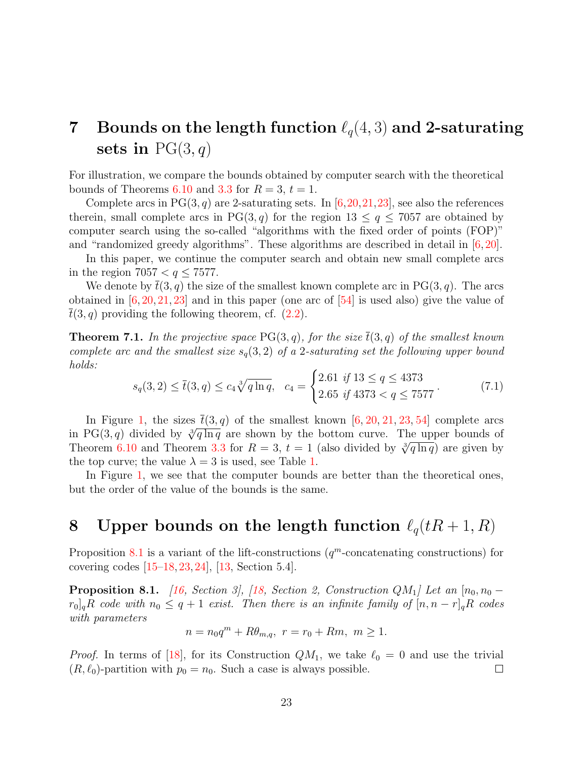## <span id="page-22-0"></span>7 Bounds on the length function  $\ell_q(4,3)$  and 2-saturating sets in  $PG(3, q)$

For illustration, we compare the bounds obtained by computer search with the theoretical bounds of Theorems [6.10](#page-20-0) and [3.3](#page-7-1) for  $R = 3$ ,  $t = 1$ .

Complete arcs in  $PG(3, q)$  are 2-saturating sets. In [\[6,](#page-26-6)[20,](#page-27-3)[21,](#page-27-8)[23\]](#page-27-7), see also the references therein, small complete arcs in PG(3, q) for the region  $13 \le q \le 7057$  are obtained by computer search using the so-called "algorithms with the fixed order of points (FOP)" and "randomized greedy algorithms". These algorithms are described in detail in [\[6,](#page-26-6) [20\]](#page-27-3).

In this paper, we continue the computer search and obtain new small complete arcs in the region  $7057 < q \leq 7577$ .

We denote by  $\bar{t}(3, q)$  the size of the smallest known complete arc in PG(3, q). The arcs obtained in  $[6, 20, 21, 23]$  $[6, 20, 21, 23]$  $[6, 20, 21, 23]$  $[6, 20, 21, 23]$  $[6, 20, 21, 23]$  $[6, 20, 21, 23]$  and in this paper (one arc of  $[54]$  is used also) give the value of  $t(3, q)$  providing the following theorem, cf.  $(2.2)$ .

**Theorem 7.1.** In the projective space PG(3, q), for the size  $\bar{t}(3, q)$  of the smallest known complete arc and the smallest size  $s_q(3,2)$  of a 2-saturating set the following upper bound holds:

$$
s_q(3,2) \le \bar{t}(3,q) \le c_4 \sqrt[3]{q \ln q}, \quad c_4 = \begin{cases} 2.61 & \text{if } 13 \le q \le 4373 \\ 2.65 & \text{if } 4373 < q \le 7577 \end{cases} \tag{7.1}
$$

In Figure [1,](#page-23-0) the sizes  $t(3, q)$  of the smallest known [\[6,](#page-26-6) [20,](#page-27-3) [21,](#page-27-8) [23,](#page-27-7) [54\]](#page-30-4) complete arcs in Figure 1, the sizes  $\iota(3,q)$  of the smallest known [0, 20, 21, 23, 34] complete arcs<br>in PG(3, q) divided by  $\sqrt[3]{q \ln q}$  are shown by the bottom curve. The upper bounds of In  $P\mathbf{G}(5, q)$  divided by  $\sqrt{q}$  in q are shown by the bottom curve. The upper bounds of<br>Theorem [6.10](#page-20-0) and Theorem [3.3](#page-7-1) for  $R = 3$ ,  $t = 1$  (also divided by  $\sqrt[3]{q \ln q}$ ) are given by the top curve; the value  $\lambda = 3$  is used, see Table [1.](#page-21-0)

In Figure [1,](#page-23-0) we see that the computer bounds are better than the theoretical ones, but the order of the value of the bounds is the same.

### <span id="page-22-1"></span>8 Upper bounds on the length function  $\ell_q(tR + 1, R)$

Proposition [8.1](#page-22-2) is a variant of the lift-constructions  $(q^m$ -concatenating constructions) for covering codes [\[15](#page-26-7)[–18,](#page-27-0) [23,](#page-27-7) [24\]](#page-27-9), [\[13,](#page-26-2) Section 5.4].

<span id="page-22-2"></span>**Proposition 8.1.** [\[16,](#page-26-9) Section 3], [\[18,](#page-27-0) Section 2, Construction  $QM_1$ ] Let an  $[n_0, n_0$  $r_0$ <sub>q</sub>R code with  $n_0 \leq q+1$  exist. Then there is an infinite family of  $[n, n-r]$ <sub>q</sub>R codes with parameters

$$
n = n_0 q^m + R\theta_{m,q}, \ r = r_0 + Rm, \ m \ge 1.
$$

*Proof.* In terms of [\[18\]](#page-27-0), for its Construction  $QM_1$ , we take  $\ell_0 = 0$  and use the trivial  $(R, \ell_0)$ -partition with  $p_0 = n_0$ . Such a case is always possible.  $\Box$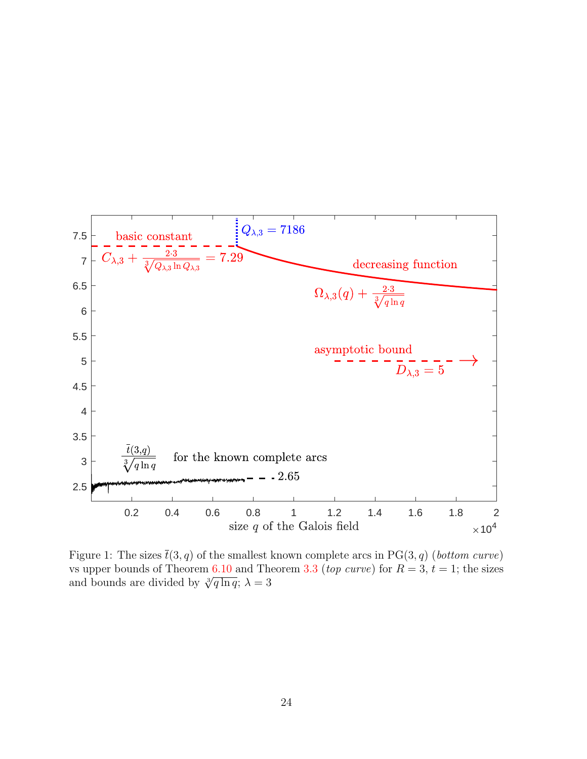

<span id="page-23-0"></span>Figure 1: The sizes  $\bar{t}(3, q)$  of the smallest known complete arcs in PG(3, q) (bottom curve) vs upper bounds of Theorem [6.10](#page-20-0) and Theorem [3.3](#page-7-1) (top curve) for  $R = 3, t = 1$ ; the sizes we upper bounds of Theorem 0.10 and The<br>and bounds are divided by  $\sqrt[3]{q \ln q}$ ;  $\lambda = 3$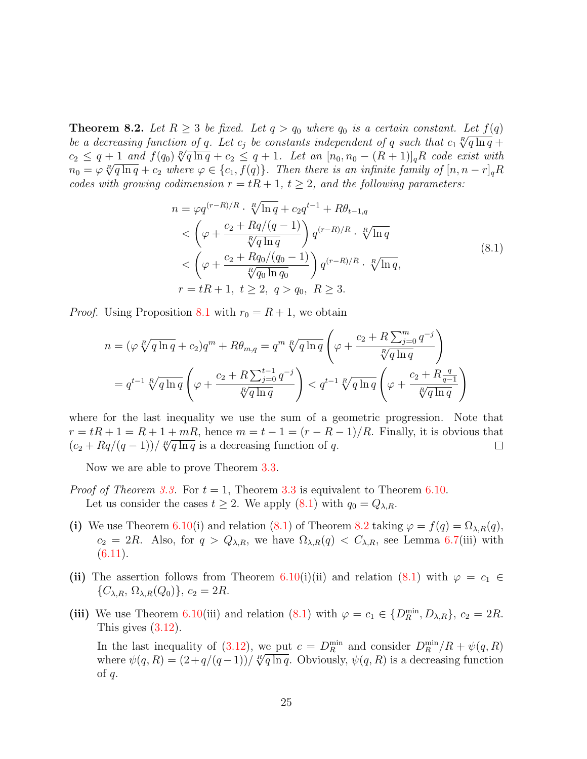<span id="page-24-1"></span>**Theorem 8.2.** Let  $R \geq 3$  be fixed. Let  $q > q_0$  where  $q_0$  is a certain constant. Let  $f(q)$ <br>he a decreasing function of a Let a he constants independent of a such that a  $\frac{R}{q \ln q}$ be a decreasing function of q. Let  $c_j$  be constants independent of q such that  $c_1 \sqrt[R]{q \ln q} +$ be a accreasing function of q. Let  $c_j$  be constants independent by q such that  $c_1 \sqrt{q} \ln q + c_2 \leq q + 1$  and  $f(q_0) \sqrt[p]{q \ln q} + c_2 \leq q + 1$ . Let an  $[n_0, n_0 - (R + 1)]_qR$  code exist with  $n = c_0 \sqrt[R]{a \ln q} + c_1 \sqrt[R]{a \ln q} + c_2 \leq q + 1$  $n_0 = \varphi \sqrt[R]{q \ln q} + c_2$  where  $\varphi \in \{c_1, f(q)\}$ . Then there is an infinite family of  $[n, n-r]_q R$ codes with growing codimension  $r = tR + 1$ ,  $t \geq 2$ , and the following parameters:

$$
n = \varphi q^{(r-R)/R} \cdot \sqrt[R]{\ln q} + c_2 q^{t-1} + R\theta_{t-1,q}
$$
  
\n
$$
< \left(\varphi + \frac{c_2 + Rq/(q-1)}{\sqrt[R]{q \ln q}}\right) q^{(r-R)/R} \cdot \sqrt[R]{\ln q}
$$
  
\n
$$
< \left(\varphi + \frac{c_2 + Rq_0/(q_0 - 1)}{\sqrt[R]{q_0 \ln q_0}}\right) q^{(r-R)/R} \cdot \sqrt[R]{\ln q},
$$
  
\n
$$
r = tR + 1, \ t \ge 2, \ q > q_0, \ R \ge 3.
$$
\n
$$
(8.1)
$$

<span id="page-24-0"></span>*Proof.* Using Proposition [8.1](#page-22-2) with  $r_0 = R + 1$ , we obtain

$$
n = (\varphi \sqrt[R]{q \ln q} + c_2)q^m + R\theta_{m,q} = q^m \sqrt[R]{q \ln q} \left(\varphi + \frac{c_2 + R \sum_{j=0}^m q^{-j}}{\sqrt[R]{q \ln q}}\right)
$$
  
=  $q^{t-1} \sqrt[R]{q \ln q} \left(\varphi + \frac{c_2 + R \sum_{j=0}^{t-1} q^{-j}}{\sqrt[R]{q \ln q}}\right) < q^{t-1} \sqrt[R]{q \ln q} \left(\varphi + \frac{c_2 + R \frac{q}{q-1}}{\sqrt[R]{q \ln q}}\right)$ 

where for the last inequality we use the sum of a geometric progression. Note that  $r = tR + 1 = R + 1 + mR$ , hence  $m = t - 1 = (r - R - 1)/R$ . Finally, it is obvious that  $r = \iota \kappa + 1 = \kappa + 1 + m\kappa$ , nence  $m = \iota - 1 = (r - \kappa - 1)$ <br> $(c_2 + Rq/(q-1))/R^q \ln q$  is a decreasing function of q.  $\Box$ 

Now we are able to prove Theorem [3.3.](#page-7-1)

- *Proof of Theorem [3.3.](#page-7-1)* For  $t = 1$ , Theorem [3.3](#page-7-1) is equivalent to Theorem [6.10.](#page-20-0) Let us consider the cases  $t \geq 2$ . We apply  $(8.1)$  with  $q_0 = Q_{\lambda,R}$ .
- (i) We use Theorem [6.10\(](#page-20-0)i) and relation [\(8.1\)](#page-24-0) of Theorem [8.2](#page-24-1) taking  $\varphi = f(q) = \Omega_{\lambda,R}(q)$ ,  $c_2 = 2R$ . Also, for  $q > Q_{\lambda,R}$ , we have  $\Omega_{\lambda,R}(q) < C_{\lambda,R}$ , see Lemma [6.7\(](#page-18-8)iii) with  $(6.11).$  $(6.11).$
- (ii) The assertion follows from Theorem [6.10\(](#page-20-0)i)(ii) and relation [\(8.1\)](#page-24-0) with  $\varphi = c_1 \in$  $\{C_{\lambda,R},\Omega_{\lambda,R}(Q_0)\},\,c_2=2R.$
- (iii) We use Theorem [6.10\(](#page-20-0)iii) and relation [\(8.1\)](#page-24-0) with  $\varphi = c_1 \in \{D_R^{\min}, D_{\lambda,R}\}, c_2 = 2R$ . This gives [\(3.12\)](#page-8-1).

In the last inequality of [\(3.12\)](#page-8-1), we put  $c = D_R^{\min}$  and consider  $D_R^{\min}/R + \psi(q, R)$ <br>where  $\psi(a, R) = (2 + g/(g-1))/R/\sqrt{a \ln q}$ . Obviously  $\psi(a, R)$  is a decreeding function where  $\psi(q, R) = (2 + q/(q-1))/\sqrt[R]{q \ln q}$ . Obviously,  $\psi(q, R)$  is a decreasing function of  $q$ .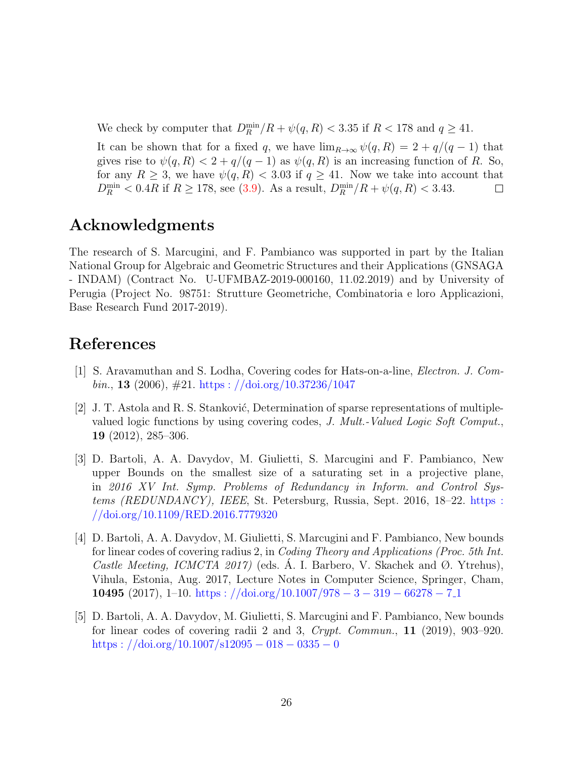We check by computer that  $D_R^{\min}/R + \psi(q, R) < 3.35$  if  $R < 178$  and  $q \ge 41$ .

It can be shown that for a fixed q, we have  $\lim_{R\to\infty}\psi(q, R) = 2 + q/(q-1)$  that gives rise to  $\psi(q, R) < 2 + q/(q - 1)$  as  $\psi(q, R)$  is an increasing function of R. So, for any  $R \geq 3$ , we have  $\psi(q, R) < 3.03$  if  $q \geq 41$ . Now we take into account that  $D_R^{\min} < 0.4R$  if  $R \ge 178$ , see [\(3.9\)](#page-7-5). As a result,  $D_R^{\min}/R + \psi(q, R) < 3.43$ .  $\Box$ 

### Acknowledgments

The research of S. Marcugini, and F. Pambianco was supported in part by the Italian National Group for Algebraic and Geometric Structures and their Applications (GNSAGA - INDAM) (Contract No. U-UFMBAZ-2019-000160, 11.02.2019) and by University of Perugia (Project No. 98751: Strutture Geometriche, Combinatoria e loro Applicazioni, Base Research Fund 2017-2019).

### References

- <span id="page-25-1"></span>[1] S. Aravamuthan and S. Lodha, Covering codes for Hats-on-a-line, Electron. J. Combin., 13 (2006),  $\#21$ . [https :](https://doi.org/10.37236/1047)  $//doi.org/10.37236/1047$
- <span id="page-25-0"></span>[2] J. T. Astola and R. S. Stanković, Determination of sparse representations of multiplevalued logic functions by using covering codes, J. Mult.-Valued Logic Soft Comput., 19 (2012), 285–306.
- <span id="page-25-2"></span>[3] D. Bartoli, A. A. Davydov, M. Giulietti, S. Marcugini and F. Pambianco, New upper Bounds on the smallest size of a saturating set in a projective plane, in 2016 XV Int. Symp. Problems of Redundancy in Inform. and Control Systems (REDUNDANCY), IEEE, St. Petersburg, Russia, Sept. 2016, 18–22. [https :](https://doi.org/10.1109/RED.2016.7779320) //doi.org/10.1109/RED.2016.[7779320](https://doi.org/10.1109/RED.2016.7779320)
- <span id="page-25-4"></span>[4] D. Bartoli, A. A. Davydov, M. Giulietti, S. Marcugini and F. Pambianco, New bounds for linear codes of covering radius 2, in Coding Theory and Applications (Proc. 5th Int. Castle Meeting, ICMCTA 2017) (eds. A. I. Barbero, V. Skachek and Ø. Ytrehus), Vihula, Estonia, Aug. 2017, Lecture Notes in Computer Science, Springer, Cham, **10495** (2017), 1–10. https:  $//doi.org/10.1007/978 - 3 - 319 - 66278 - 7.1$
- <span id="page-25-3"></span>[5] D. Bartoli, A. A. Davydov, M. Giulietti, S. Marcugini and F. Pambianco, New bounds for linear codes of covering radii 2 and 3,  $Crypt.$  Commun., 11 (2019), 903–920. [https :](https://doi.org/10.1007/s12095-018-0335-0)  $//doi.org/10.1007/s12095 - 018 - 0335 - 0$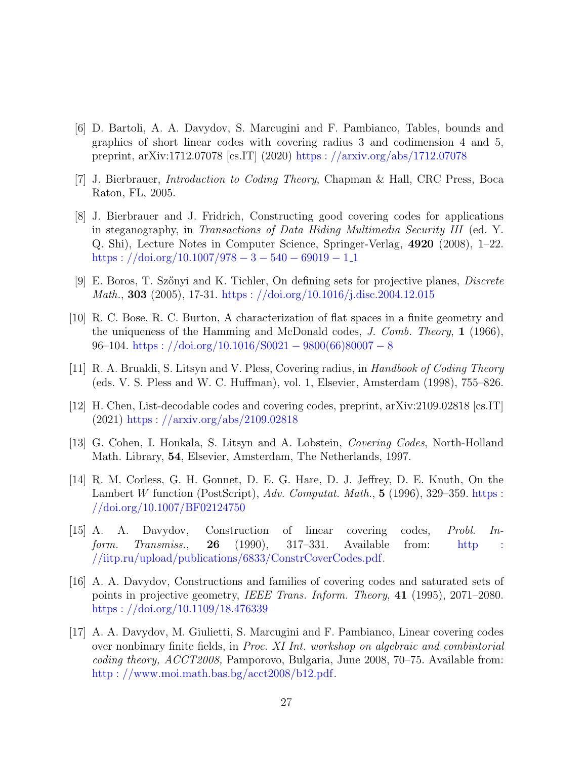- <span id="page-26-6"></span>[6] D. Bartoli, A. A. Davydov, S. Marcugini and F. Pambianco, Tables, bounds and graphics of short linear codes with covering radius 3 and codimension 4 and 5, preprint, arXiv:1712.07078 [cs.IT] (2020) [https :](https://arxiv.org/abs/1712.07078) //arxiv.org/abs/1712.07078
- <span id="page-26-0"></span>[7] J. Bierbrauer, Introduction to Coding Theory, Chapman & Hall, CRC Press, Boca Raton, FL, 2005.
- <span id="page-26-4"></span>[8] J. Bierbrauer and J. Fridrich, Constructing good covering codes for applications in steganography, in Transactions of Data Hiding Multimedia Security III (ed. Y. Q. Shi), Lecture Notes in Computer Science, Springer-Verlag, 4920 (2008), 1–22. [https :](https://doi.org/10.1007/978-3-540-69019-1_1)  $//doi.org/10.1007/978 - 3 - 540 - 69019 - 1.1$
- <span id="page-26-3"></span>[9] E. Boros, T. Sz˝onyi and K. Tichler, On defining sets for projective planes, Discrete Math., 303 (2005), 17-31. [https :](https://doi.org/10.1016/j.disc.2004.12.015) //doi.org/10.1016/j.disc.2004.12.015
- <span id="page-26-10"></span>[10] R. C. Bose, R. C. Burton, A characterization of flat spaces in a finite geometry and the uniqueness of the Hamming and McDonald codes, J. Comb. Theory, 1 (1966),  $96–104.$  https :  $//doi.org/10.1016/S0021 - 9800(66)80007 - 8$  $//doi.org/10.1016/S0021 - 9800(66)80007 - 8$  $//doi.org/10.1016/S0021 - 9800(66)80007 - 8$
- <span id="page-26-1"></span>[11] R. A. Brualdi, S. Litsyn and V. Pless, Covering radius, in Handbook of Coding Theory (eds. V. S. Pless and W. C. Huffman), vol. 1, Elsevier, Amsterdam (1998), 755–826.
- <span id="page-26-5"></span>[12] H. Chen, List-decodable codes and covering codes, preprint, arXiv:2109.02818 [cs.IT] (2021) [https :](https://arxiv.org/abs/2109.02818) //arxiv.org/abs/2109.02818
- <span id="page-26-2"></span>[13] G. Cohen, I. Honkala, S. Litsyn and A. Lobstein, Covering Codes, North-Holland Math. Library, 54, Elsevier, Amsterdam, The Netherlands, 1997.
- <span id="page-26-11"></span>[14] R. M. Corless, G. H. Gonnet, D. E. G. Hare, D. J. Jeffrey, D. E. Knuth, On the Lambert W function (PostScript),  $Adv.$  Computat. Math., 5 (1996), 329–359. [https :](https://doi.org/10.1007/BF02124750) //doi.org/10.1007/[BF02124750](https://doi.org/10.1007/BF02124750)
- <span id="page-26-7"></span>[15] A. A. Davydov, Construction of linear covering codes, Probl. Inform. Transmiss., 26 (1990), 317–331. Available from: [http :](http://iitp.ru/upload/publications/6833/ConstrCoverCodes.pdf) //iitp.ru/upload/publications/6833/[ConstrCoverCodes](http://iitp.ru/upload/publications/6833/ConstrCoverCodes.pdf).pdf.
- <span id="page-26-9"></span>[16] A. A. Davydov, Constructions and families of covering codes and saturated sets of points in projective geometry, IEEE Trans. Inform. Theory, 41 (1995), 2071–2080. [https :](https://doi.org/10.1109/18.476339) //doi.org/10.1109/18.476339
- <span id="page-26-8"></span>[17] A. A. Davydov, M. Giulietti, S. Marcugini and F. Pambianco, Linear covering codes over nonbinary finite fields, in Proc. XI Int. workshop on algebraic and combintorial coding theory, ACCT2008, Pamporovo, Bulgaria, June 2008, 70–75. Available from: http : //www.moi.math.bas.bg/[acct2008](http://www.moi.math.bas.bg/acct2008/b12.pdf)/b12.pdf.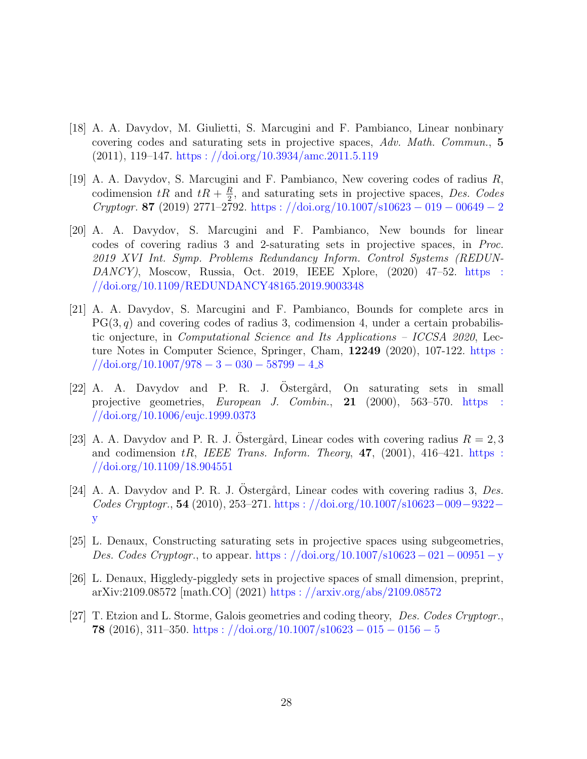- <span id="page-27-0"></span>[18] A. A. Davydov, M. Giulietti, S. Marcugini and F. Pambianco, Linear nonbinary covering codes and saturating sets in projective spaces, Adv. Math. Commun., 5  $(2011), 119-147.$  [https :](https://doi.org/10.3934/amc.2011.5.119)  $//doi.org/10.3934/ame.2011.5.119$
- <span id="page-27-5"></span>[19] A. A. Davydov, S. Marcugini and F. Pambianco, New covering codes of radius R, codimension  $tR$  and  $tR + \frac{R}{2}$  $\frac{R}{2}$ , and saturating sets in projective spaces, Des. Codes Cryptogr. 87 (2019) 2771–2792. https://doi.org/10.1007/s10623 – 019 – 00649 – 2
- <span id="page-27-3"></span>[20] A. A. Davydov, S. Marcugini and F. Pambianco, New bounds for linear codes of covering radius 3 and 2-saturating sets in projective spaces, in Proc. 2019 XVI Int. Symp. Problems Redundancy Inform. Control Systems (REDUN-DANCY), Moscow, Russia, Oct. 2019, IEEE Xplore, (2020) 47–52. [https :](https://doi.org/10.1109/REDUNDANCY48165.2019.9003348) //doi.org/10.1109/[REDUNDANCY48165](https://doi.org/10.1109/REDUNDANCY48165.2019.9003348).2019.9003348
- <span id="page-27-8"></span>[21] A. A. Davydov, S. Marcugini and F. Pambianco, Bounds for complete arcs in  $PG(3, q)$  and covering codes of radius 3, codimension 4, under a certain probabilistic onjecture, in Computational Science and Its Applications – ICCSA 2020, Lecture Notes in Computer Science, Springer, Cham, 12249 (2020), 107-122. [https :](https://doi.org/10.1007/978-3-030-58799-4_8)  $\frac{\sqrt{4} \text{doi.org}}{10.1007}/978 - 3 - 030 - 58799 - 4.8}$  $\frac{\sqrt{4} \text{doi.org}}{10.1007}/978 - 3 - 030 - 58799 - 4.8}$  $\frac{\sqrt{4} \text{doi.org}}{10.1007}/978 - 3 - 030 - 58799 - 4.8}$
- <span id="page-27-6"></span> $[22]$  A. A. Davydov and P. R. J. Ostergård, On saturating sets in small projective geometries, European J. Combin., 21 (2000), 563–570. [https :](https://doi.org/10.1006/eujc.1999.0373) //doi.org/10.[1006](https://doi.org/10.1006/eujc.1999.0373)/eujc.1999.0373
- <span id="page-27-7"></span>[23] A. A. Davydov and P. R. J. Ostergård, Linear codes with covering radius  $R = 2, 3$ and codimension  $tR$ , IEEE Trans. Inform. Theory, 47, (2001), 416–421. [https :](https://doi.org/10.1109/18.904551) //doi.org/10.1109/18.[904551](https://doi.org/10.1109/18.904551)
- <span id="page-27-9"></span>[24] A. A. Davydov and P. R. J. Ostergård, Linear codes with covering radius 3, Des.  $\textit{Codes Cryptogr.}, 54 (2010), 253–271. \text{ https://doi.org/10.1007/s10623-009-9322-}$ [y](https://doi.org/10.1007/s10623-009-9322-y)
- <span id="page-27-4"></span>[25] L. Denaux, Constructing saturating sets in projective spaces using subgeometries, Des. Codes Cryptogr., to appear. https://doi.org/10.1007/s10623 – 021 – 00951 – y
- <span id="page-27-2"></span>[26] L. Denaux, Higgledy-piggledy sets in projective spaces of small dimension, preprint, arXiv:2109.08572 [math.CO] (2021) [https :](https://arxiv.org/abs/2109.08572) //arxiv.org/abs/2109.08572
- <span id="page-27-1"></span>[27] T. Etzion and L. Storme, Galois geometries and coding theory, Des. Codes Cryptogr., 78 (2016), 311–350. https:  $//doi.org/10.1007/s10623 - 015 - 0156 - 5$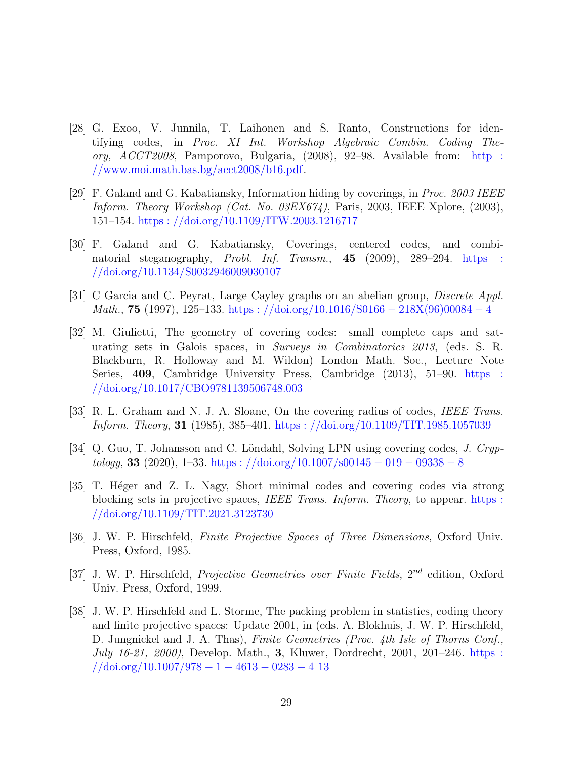- <span id="page-28-4"></span>[28] G. Exoo, V. Junnila, T. Laihonen and S. Ranto, Constructions for identifying codes, in Proc. XI Int. Workshop Algebraic Combin. Coding Theory, ACCT2008, Pamporovo, Bulgaria, (2008), 92–98. Available from: [http :](http://www.moi.math.bas.bg/acct2008/b16.pdf)  $//www.moi.math.bas.bg/acct2008/b16.pdf.$  $//www.moi.math.bas.bg/acct2008/b16.pdf.$  $//www.moi.math.bas.bg/acct2008/b16.pdf.$
- <span id="page-28-2"></span>[29] F. Galand and G. Kabatiansky, Information hiding by coverings, in Proc. 2003 IEEE Inform. Theory Workshop (Cat. No. 03EX674), Paris, 2003, IEEE Xplore, (2003), 151–154. https : //doi.org/10.1109/ITW.2003.[1216717](https://doi.org/10.1109/ITW.2003.1216717)
- <span id="page-28-3"></span>[30] F. Galand and G. Kabatiansky, Coverings, centered codes, and combinatorial steganography, Probl. Inf. Transm., 45 (2009), 289–294. [https :](https://doi.org/10.1134/S0032946009030107) //doi.org/10.1134/[S0032946009030107](https://doi.org/10.1134/S0032946009030107)
- <span id="page-28-1"></span>[31] C Garcia and C. Peyrat, Large Cayley graphs on an abelian group, Discrete Appl. Math., 75 (1997), 125–133. https://doi.org/10.1016/S0166 − [218X\(96\)00084](https://doi.org/10.1016/S0166-218X(96)00084-4) − 4
- <span id="page-28-6"></span>[32] M. Giulietti, The geometry of covering codes: small complete caps and saturating sets in Galois spaces, in Surveys in Combinatorics 2013, (eds. S. R. Blackburn, R. Holloway and M. Wildon) London Math. Soc., Lecture Note Series, 409, Cambridge University Press, Cambridge (2013), 51–90. [https :](https://doi.org/10.1017/CBO9781139506748.003) //doi.org/10.1017/[CBO9781139506748](https://doi.org/10.1017/CBO9781139506748.003).003
- <span id="page-28-0"></span>[33] R. L. Graham and N. J. A. Sloane, On the covering radius of codes, IEEE Trans. Inform. Theory, 31 (1985), 385–401. https : //doi.org/10.1109/TIT.1985.[1057039](https://doi.org/10.1109/TIT.1985.1057039)
- <span id="page-28-5"></span>[34] Q. Guo, T. Johansson and C. Löndahl, Solving LPN using covering codes, J. Cryp $tology, 33 (2020), 1–33.  $https://doi.org/10.1007/500145-019-09338-8$$
- <span id="page-28-8"></span>[35] T. Héger and Z. L. Nagy, Short minimal codes and covering codes via strong blocking sets in projective spaces, IEEE Trans. Inform. Theory, to appear. [https :](https://doi.org/10.1109/TIT.2021.3123730) //doi.org/10.1109/TIT.2021.[3123730](https://doi.org/10.1109/TIT.2021.3123730)
- <span id="page-28-7"></span>[36] J. W. P. Hirschfeld, Finite Projective Spaces of Three Dimensions, Oxford Univ. Press, Oxford, 1985.
- [37] J. W. P. Hirschfeld, Projective Geometries over Finite Fields, 2<sup>nd</sup> edition, Oxford Univ. Press, Oxford, 1999.
- [38] J. W. P. Hirschfeld and L. Storme, The packing problem in statistics, coding theory and finite projective spaces: Update 2001, in (eds. A. Blokhuis, J. W. P. Hirschfeld, D. Jungnickel and J. A. Thas), Finite Geometries (Proc. 4th Isle of Thorns Conf., July 16-21, 2000), Develop. Math., 3, Kluwer, Dordrecht, 2001, 201–246. [https :](https://doi.org/10.1007/978-1-4613-0283-4_13)  $\frac{1}{\frac{13}{2}}$  //doi.org/10.[1007](https://doi.org/10.1007/978-1-4613-0283-4_13)/978 – 1 – 4613 – 0283 – 4.13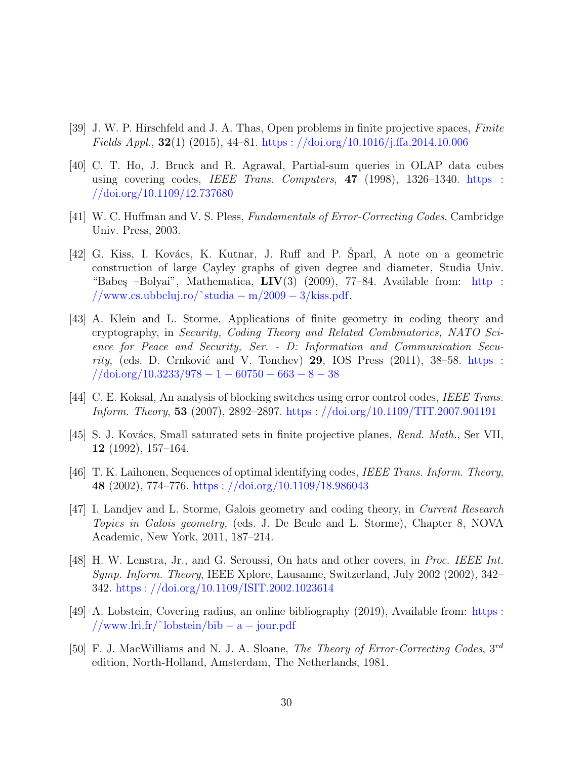- <span id="page-29-8"></span>[39] J. W. P. Hirschfeld and J. A. Thas, Open problems in finite projective spaces, Finite Fields Appl.,  $32(1)$  (2015), 44–81. https://doi.org/10.1016/j.ffa.2014.10.006
- <span id="page-29-4"></span>[40] C. T. Ho, J. Bruck and R. Agrawal, Partial-sum queries in OLAP data cubes using covering codes, *IEEE Trans. Computers*,  $47$  (1998), 1326–1340. [https :](https://doi.org/10.1109/12.737680) //doi.org/10.1109/12.[737680](https://doi.org/10.1109/12.737680)
- <span id="page-29-0"></span>[41] W. C. Huffman and V. S. Pless, Fundamentals of Error-Correcting Codes, Cambridge Univ. Press, 2003.
- <span id="page-29-3"></span> $[42]$  G. Kiss, I. Kovács, K. Kutnar, J. Ruff and P. Šparl, A note on a geometric construction of large Cayley graphs of given degree and diameter, Studia Univ. "Babeş –Bolyai", Mathematica,  $LIV(3)$  (2009), 77–84. Available from: http: //www.cs.[ubbcluj](http://www.cs.ubbcluj.ro/~studia-m/2009-3/kiss.pdf).ro/~studia – m/2009 – 3/kiss.pdf.
- <span id="page-29-9"></span>[43] A. Klein and L. Storme, Applications of finite geometry in coding theory and cryptography, in Security, Coding Theory and Related Combinatorics, NATO Science for Peace and Security, Ser. - D: Information and Communication Security, (eds. D. Crnković and V. Tonchev) 29, IOS Press  $(2011)$ , 38–58. [https :](https://doi.org/10.3233/978-1-60750-663-8-38)  $// doi.org/10.3233/978 - 1 - 60750 - 663 - 8 - 38$  $// doi.org/10.3233/978 - 1 - 60750 - 663 - 8 - 38$  $// doi.org/10.3233/978 - 1 - 60750 - 663 - 8 - 38$
- <span id="page-29-6"></span>[44] C. E. Koksal, An analysis of blocking switches using error control codes, IEEE Trans. Inform. Theory, 53 (2007), 2892–2897. [https :](https://doi.org/10.1109/TIT.2007.901191) //doi.org/10.1109/TIT.2007.901191
- <span id="page-29-11"></span>[45] S. J. Kovács, Small saturated sets in finite projective planes, Rend. Math., Ser VII, 12 (1992), 157–164.
- <span id="page-29-5"></span>[46] T. K. Laihonen, Sequences of optimal identifying codes, IEEE Trans. Inform. Theory, 48 (2002), 774–776. https://doi.org/10.1109/18.986043
- <span id="page-29-10"></span>[47] I. Landjev and L. Storme, Galois geometry and coding theory, in Current Research Topics in Galois geometry, (eds. J. De Beule and L. Storme), Chapter 8, NOVA Academic, New York, 2011, 187–214.
- <span id="page-29-7"></span>[48] H. W. Lenstra, Jr., and G. Seroussi, On hats and other covers, in Proc. IEEE Int. Symp. Inform. Theory, IEEE Xplore, Lausanne, Switzerland, July 2002 (2002), 342– 342. https : //doi.org/10.1109/ISIT.2002.[1023614](https://doi.org/10.1109/ISIT.2002.1023614)
- <span id="page-29-2"></span>[49] A. Lobstein, Covering radius, an online bibliography (2019), Available from: [https :](https://www.lri.fr/~lobstein/bib-a-jour.pdf) //www.lri.fr/[˜lobstein](https://www.lri.fr/~lobstein/bib-a-jour.pdf)/bib − a − jour.pdf
- <span id="page-29-1"></span>[50] F. J. MacWilliams and N. J. A. Sloane, The Theory of Error-Correcting Codes,  $3^{rd}$ edition, North-Holland, Amsterdam, The Netherlands, 1981.